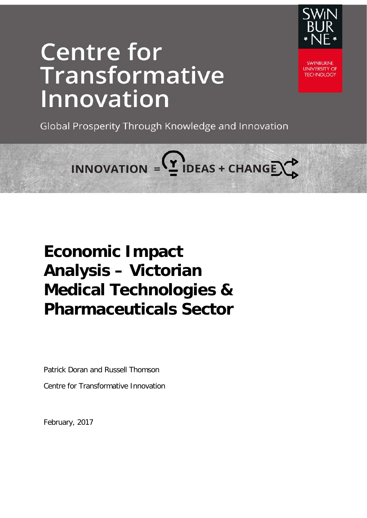

# **Centre for Transformative** Innovation

**SWINRI IRNF UNIVERSITY OF TECHNOLOGY** 

Global Prosperity Through Knowledge and Innovation

INNOVATION =  $2$  IDEAS + CHANGE  $\rightarrow$ 

## **Economic Impact Analysis – Victorian Medical Technologies & Pharmaceuticals Sector**

Patrick Doran and Russell Thomson Centre for Transformative Innovation

February, 2017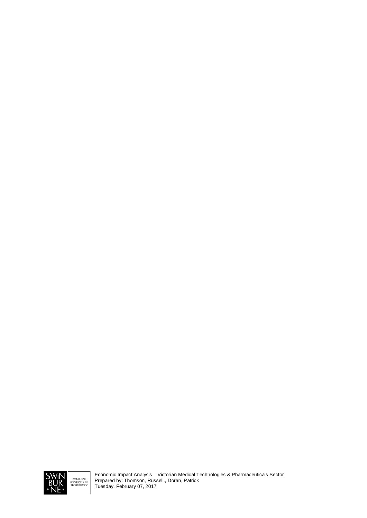

Economic Impact Analysis – Victorian Medical Technologies & Pharmaceuticals Sector Prepared by: Thomson, Russell., Doran, Patrick Tuesday, February 07, 2017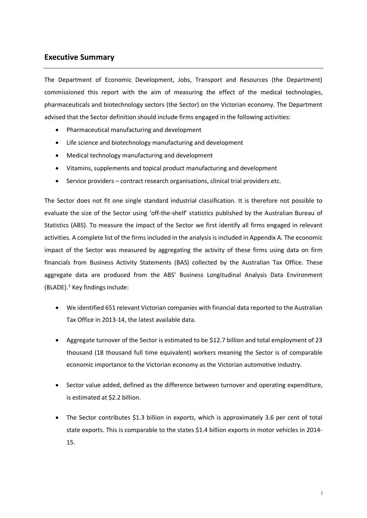#### <span id="page-2-0"></span>**Executive Summary**

The Department of Economic Development, Jobs, Transport and Resources (the Department) commissioned this report with the aim of measuring the effect of the medical technologies, pharmaceuticals and biotechnology sectors (the Sector) on the Victorian economy. The Department advised that the Sector definition should include firms engaged in the following activities:

- Pharmaceutical manufacturing and development
- Life science and biotechnology manufacturing and development
- Medical technology manufacturing and development
- Vitamins, supplements and topical product manufacturing and development
- Service providers contract research organisations, clinical trial providers etc.

The Sector does not fit one single standard industrial classification. It is therefore not possible to evaluate the size of the Sector using 'off-the-shelf' statistics published by the Australian Bureau of Statistics (ABS). To measure the impact of the Sector we first identify all firms engaged in relevant activities. A complete list of the firms included in the analysis is included in Appendix A. The economic impact of the Sector was measured by aggregating the activity of these firms using data on firm financials from Business Activity Statements (BAS) collected by the Australian Tax Office. These aggregate data are produced from the ABS' Business Longitudinal Analysis Data Environment (BLADE). [1](#page-51-0) Key findings include:

- We identified 651 relevant Victorian companies with financial data reported to the Australian Tax Office in 2013-14, the latest available data.
- Aggregate turnover of the Sector is estimated to be \$12.7 billion and total employment of 23 thousand (18 thousand full time equivalent) workers meaning the Sector is of comparable economic importance to the Victorian economy as the Victorian automotive industry.
- Sector value added, defined as the difference between turnover and operating expenditure, is estimated at \$2.2 billion.
- The Sector contributes \$1.3 billion in exports, which is approximately 3.6 per cent of total state exports. This is comparable to the states \$1.4 billion exports in motor vehicles in 2014- 15.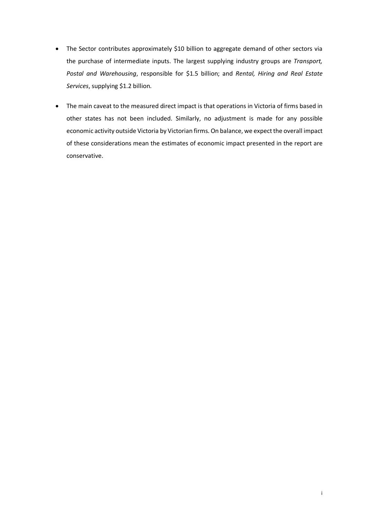- The Sector contributes approximately \$10 billion to aggregate demand of other sectors via the purchase of intermediate inputs. The largest supplying industry groups are *Transport, Postal and Warehousing*, responsible for \$1.5 billion; and *Rental, Hiring and Real Estate Services*, supplying \$1.2 billion.
- The main caveat to the measured direct impact is that operations in Victoria of firms based in other states has not been included. Similarly, no adjustment is made for any possible economic activity outside Victoria by Victorian firms. On balance, we expect the overall impact of these considerations mean the estimates of economic impact presented in the report are conservative.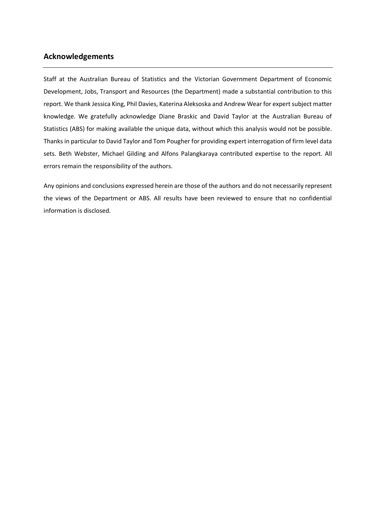#### <span id="page-4-0"></span>**Acknowledgements**

Staff at the Australian Bureau of Statistics and the Victorian Government Department of Economic Development, Jobs, Transport and Resources (the Department) made a substantial contribution to this report. We thank Jessica King, Phil Davies, Katerina Aleksoska and Andrew Wear for expert subject matter knowledge. We gratefully acknowledge Diane Braskic and David Taylor at the Australian Bureau of Statistics (ABS) for making available the unique data, without which this analysis would not be possible. Thanks in particular to David Taylor and Tom Pougher for providing expert interrogation of firm level data sets. Beth Webster, Michael Gilding and Alfons Palangkaraya contributed expertise to the report. All errors remain the responsibility of the authors.

Any opinions and conclusions expressed herein are those of the authors and do not necessarily represent the views of the Department or ABS. All results have been reviewed to ensure that no confidential information is disclosed.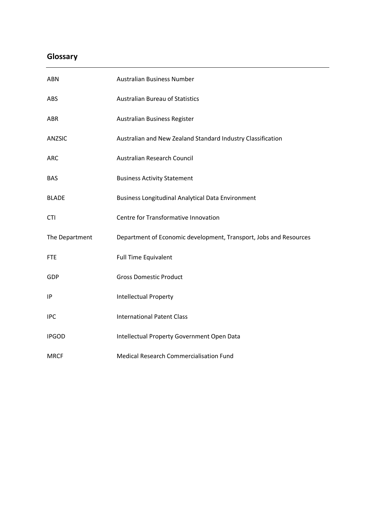### <span id="page-5-0"></span>**Glossary**

| <b>ABN</b>     | <b>Australian Business Number</b>                                 |
|----------------|-------------------------------------------------------------------|
| ABS            | <b>Australian Bureau of Statistics</b>                            |
| ABR            | Australian Business Register                                      |
| ANZSIC         | Australian and New Zealand Standard Industry Classification       |
| <b>ARC</b>     | Australian Research Council                                       |
| <b>BAS</b>     | <b>Business Activity Statement</b>                                |
| <b>BLADE</b>   | <b>Business Longitudinal Analytical Data Environment</b>          |
| <b>CTI</b>     | Centre for Transformative Innovation                              |
| The Department | Department of Economic development, Transport, Jobs and Resources |
| <b>FTE</b>     | <b>Full Time Equivalent</b>                                       |
| GDP            | <b>Gross Domestic Product</b>                                     |
| IP             | Intellectual Property                                             |
| <b>IPC</b>     | <b>International Patent Class</b>                                 |
| <b>IPGOD</b>   | Intellectual Property Government Open Data                        |
| <b>MRCF</b>    | Medical Research Commercialisation Fund                           |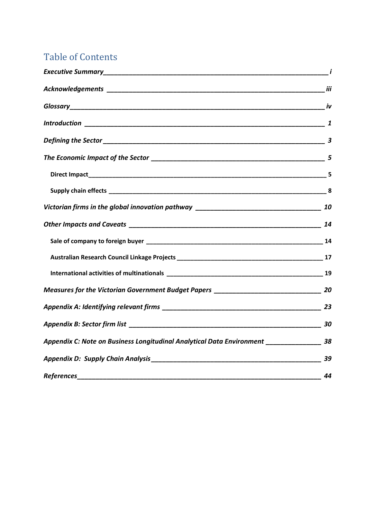## Table of Contents

| Appendix C: Note on Business Longitudinal Analytical Data Environment ________________ 38 |                |
|-------------------------------------------------------------------------------------------|----------------|
|                                                                                           |                |
|                                                                                           | $\frac{44}{1}$ |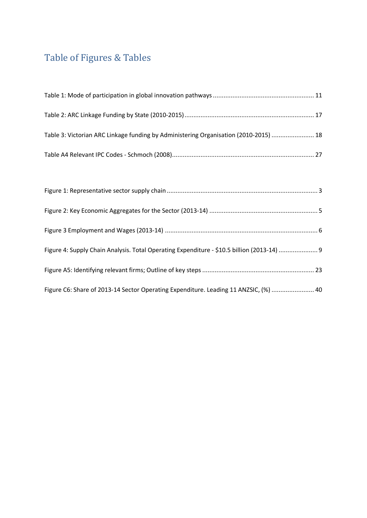## Table of Figures & Tables

| Table 3: Victorian ARC Linkage funding by Administering Organisation (2010-2015)  18 |  |
|--------------------------------------------------------------------------------------|--|
|                                                                                      |  |

| Figure 4: Supply Chain Analysis. Total Operating Expenditure - \$10.5 billion (2013-14)  9 |  |
|--------------------------------------------------------------------------------------------|--|
|                                                                                            |  |
| Figure C6: Share of 2013-14 Sector Operating Expenditure. Leading 11 ANZSIC, (%)  40       |  |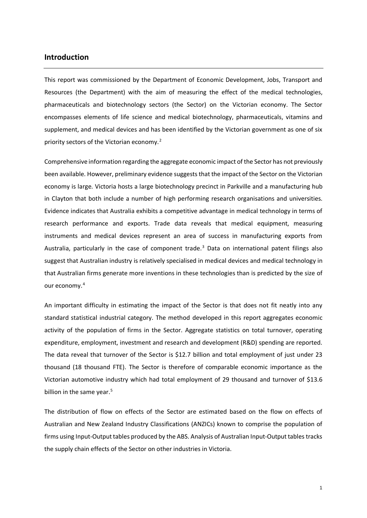#### <span id="page-8-0"></span>**Introduction**

This report was commissioned by the Department of Economic Development, Jobs, Transport and Resources (the Department) with the aim of measuring the effect of the medical technologies, pharmaceuticals and biotechnology sectors (the Sector) on the Victorian economy. The Sector encompasses elements of life science and medical biotechnology, pharmaceuticals, vitamins and supplement, and medical devices and has been identified by the Victorian government as one of six priority sectors of the Victorian economy.[2](#page-51-2)

Comprehensive information regarding the aggregate economic impact of the Sector has not previously been available. However, preliminary evidence suggests that the impact of the Sector on the Victorian economy is large. Victoria hosts a large biotechnology precinct in Parkville and a manufacturing hub in Clayton that both include a number of high performing research organisations and universities. Evidence indicates that Australia exhibits a competitive advantage in medical technology in terms of research performance and exports. Trade data reveals that medical equipment, measuring instruments and medical devices represent an area of success in manufacturing exports from Australia, particularly in the case of component trade.<sup>[3](#page-51-3)</sup> Data on international patent filings also suggest that Australian industry is relatively specialised in medical devices and medical technology in that Australian firms generate more inventions in these technologies than is predicted by the size of our economy.<sup>[4](#page-51-4)</sup>

An important difficulty in estimating the impact of the Sector is that does not fit neatly into any standard statistical industrial category. The method developed in this report aggregates economic activity of the population of firms in the Sector. Aggregate statistics on total turnover, operating expenditure, employment, investment and research and development (R&D) spending are reported. The data reveal that turnover of the Sector is \$12.7 billion and total employment of just under 23 thousand (18 thousand FTE). The Sector is therefore of comparable economic importance as the Victorian automotive industry which had total employment of 29 thousand and turnover of \$13.6 billion in the same year.<sup>[5](#page-51-5)</sup>

The distribution of flow on effects of the Sector are estimated based on the flow on effects of Australian and New Zealand Industry Classifications (ANZICs) known to comprise the population of firms using Input-Output tables produced by the ABS. Analysis of Australian Input-Output tables tracks the supply chain effects of the Sector on other industries in Victoria.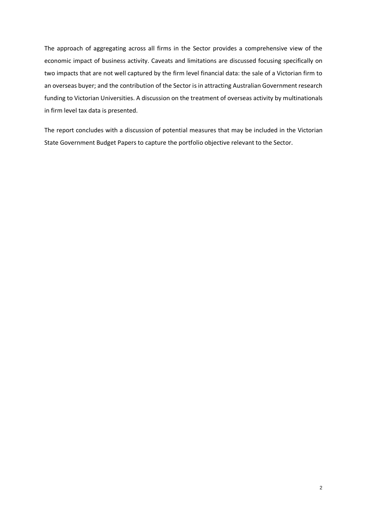The approach of aggregating across all firms in the Sector provides a comprehensive view of the economic impact of business activity. Caveats and limitations are discussed focusing specifically on two impacts that are not well captured by the firm level financial data: the sale of a Victorian firm to an overseas buyer; and the contribution of the Sector is in attracting Australian Government research funding to Victorian Universities. A discussion on the treatment of overseas activity by multinationals in firm level tax data is presented.

The report concludes with a discussion of potential measures that may be included in the Victorian State Government Budget Papers to capture the portfolio objective relevant to the Sector.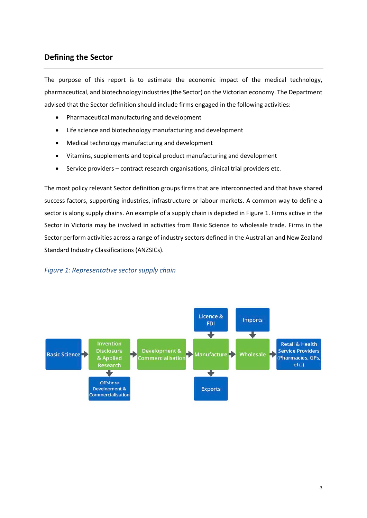#### <span id="page-10-0"></span>**Defining the Sector**

The purpose of this report is to estimate the economic impact of the medical technology, pharmaceutical, and biotechnology industries (the Sector) on the Victorian economy. The Department advised that the Sector definition should include firms engaged in the following activities:

- Pharmaceutical manufacturing and development
- Life science and biotechnology manufacturing and development
- Medical technology manufacturing and development
- Vitamins, supplements and topical product manufacturing and development
- Service providers contract research organisations, clinical trial providers etc.

The most policy relevant Sector definition groups firms that are interconnected and that have shared success factors, supporting industries, infrastructure or labour markets. A common way to define a sector is along supply chains. An example of a supply chain is depicted in Figure 1. Firms active in the Sector in Victoria may be involved in activities from Basic Science to wholesale trade. Firms in the Sector perform activities across a range of industry sectors defined in the Australian and New Zealand Standard Industry Classifications (ANZSICs).

#### <span id="page-10-1"></span>*Figure 1: Representative sector supply chain*

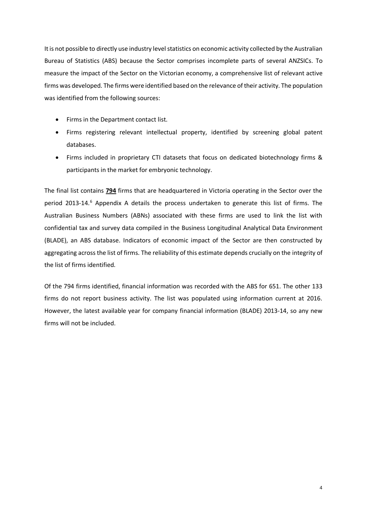It is not possible to directly use industry level statistics on economic activity collected by the Australian Bureau of Statistics (ABS) because the Sector comprises incomplete parts of several ANZSICs. To measure the impact of the Sector on the Victorian economy, a comprehensive list of relevant active firms was developed. The firms were identified based on the relevance of their activity. The population was identified from the following sources:

- Firms in the Department contact list.
- Firms registering relevant intellectual property, identified by screening global patent databases.
- Firms included in proprietary CTI datasets that focus on dedicated biotechnology firms & participants in the market for embryonic technology.

The final list contains **794** firms that are headquartered in Victoria operating in the Sector over the period 2013-14.<sup>[6](#page-51-6)</sup> Appendix A details the process undertaken to generate this list of firms. The Australian Business Numbers (ABNs) associated with these firms are used to link the list with confidential tax and survey data compiled in the Business Longitudinal Analytical Data Environment (BLADE), an ABS database. Indicators of economic impact of the Sector are then constructed by aggregating across the list of firms. The reliability of this estimate depends crucially on the integrity of the list of firms identified.

Of the 794 firms identified, financial information was recorded with the ABS for 651. The other 133 firms do not report business activity. The list was populated using information current at 2016. However, the latest available year for company financial information (BLADE) 2013-14, so any new firms will not be included.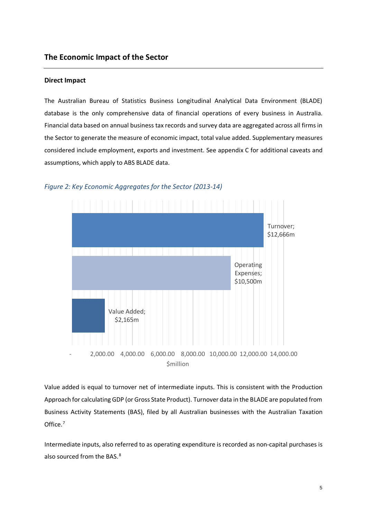#### <span id="page-12-1"></span><span id="page-12-0"></span>**Direct Impact**

The Australian Bureau of Statistics Business Longitudinal Analytical Data Environment (BLADE) database is the only comprehensive data of financial operations of every business in Australia. Financial data based on annual business tax records and survey data are aggregated across all firms in the Sector to generate the measure of economic impact, total value added. Supplementary measures considered include employment, exports and investment. See appendix C for additional caveats and assumptions, which apply to ABS BLADE data.



*Figure 2: Key Economic Aggregates for the Sector (2013-14)*

Value added is equal to turnover net of intermediate inputs. This is consistent with the Production Approach for calculating GDP (or Gross State Product). Turnover data in the BLADE are populated from Business Activity Statements (BAS), filed by all Australian businesses with the Australian Taxation Office.<sup>[7](#page-51-7)</sup>

Intermediate inputs, also referred to as operating expenditure is recorded as non-capital purchases is also sourced from the BAS.<sup>[8](#page-51-8)</sup>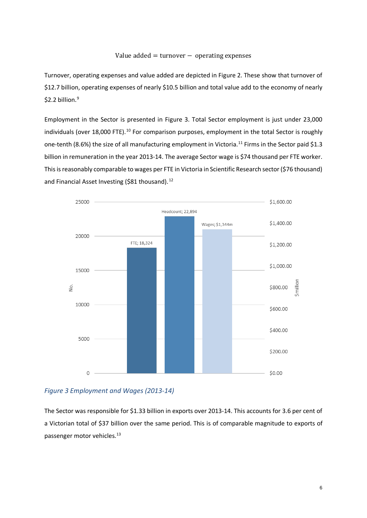#### Value added = turnover  $-$  operating expenses

Turnover, operating expenses and value added are depicted in Figure 2. These show that turnover of \$12.7 billion, operating expenses of nearly \$10.5 billion and total value add to the economy of nearly \$2.2 billion.<sup>[9](#page-51-9)</sup>

Employment in the Sector is presented in Figure 3. Total Sector employment is just under 23,000 individuals (over 18,000 FTE).<sup>[10](#page-51-10)</sup> For comparison purposes, employment in the total Sector is roughly one-tenth (8.6%) the size of all manufacturing employment in Victoria.<sup>[11](#page-51-11)</sup> Firms in the Sector paid \$1.3 billion in remuneration in the year 2013-14. The average Sector wage is \$74 thousand per FTE worker. This isreasonably comparable to wages per FTE in Victoria in Scientific Research sector (\$76 thousand) and Financial Asset Investing (\$81 thousand).<sup>[12](#page-51-12)</sup>



#### <span id="page-13-0"></span>*Figure 3 Employment and Wages (2013-14)*

The Sector was responsible for \$1.33 billion in exports over 2013-14. This accounts for 3.6 per cent of a Victorian total of \$37 billion over the same period. This is of comparable magnitude to exports of passenger motor vehicles.[13](#page-51-13)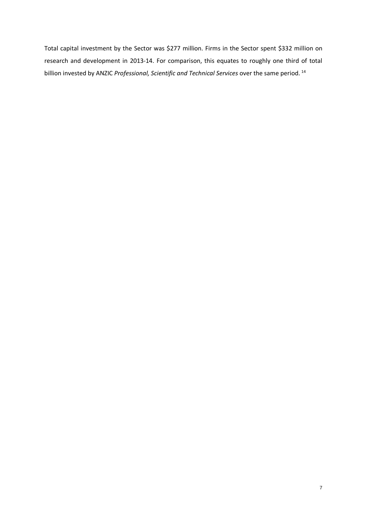Total capital investment by the Sector was \$277 million. Firms in the Sector spent \$332 million on research and development in 2013-14. For comparison, this equates to roughly one third of total billion invested by ANZIC *Professional, Scientific and Technical Services* over the same period. [14](#page-51-14)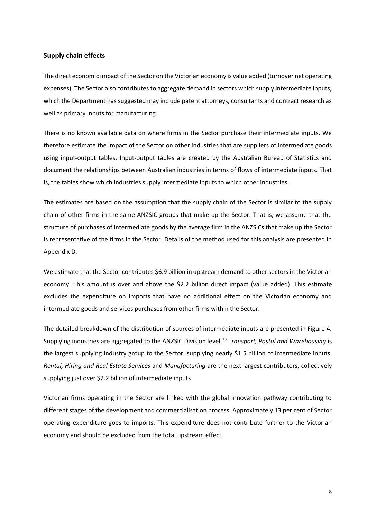#### <span id="page-15-0"></span>**Supply chain effects**

The direct economic impact of the Sector on the Victorian economy is value added (turnover net operating expenses). The Sector also contributes to aggregate demand in sectors which supply intermediate inputs, which the Department has suggested may include patent attorneys, consultants and contract research as well as primary inputs for manufacturing.

There is no known available data on where firms in the Sector purchase their intermediate inputs. We therefore estimate the impact of the Sector on other industries that are suppliers of intermediate goods using input-output tables. Input-output tables are created by the Australian Bureau of Statistics and document the relationships between Australian industries in terms of flows of intermediate inputs. That is, the tables show which industries supply intermediate inputs to which other industries.

The estimates are based on the assumption that the supply chain of the Sector is similar to the supply chain of other firms in the same ANZSIC groups that make up the Sector. That is, we assume that the structure of purchases of intermediate goods by the average firm in the ANZSICs that make up the Sector is representative of the firms in the Sector. Details of the method used for this analysis are presented in Appendix D.

We estimate that the Sector contributes \$6.9 billion in upstream demand to other sectors in the Victorian economy. This amount is over and above the \$2.2 billion direct impact (value added). This estimate excludes the expenditure on imports that have no additional effect on the Victorian economy and intermediate goods and services purchases from other firms within the Sector.

The detailed breakdown of the distribution of sources of intermediate inputs are presented in Figure 4. Supplying industries are aggregated to the ANZSIC Division level.[15](#page-51-15) T*ransport, Postal and Warehousing* is the largest supplying industry group to the Sector, supplying nearly \$1.5 billion of intermediate inputs. *Rental, Hiring and Real Estate Services* and *Manufacturing* are the next largest contributors, collectively supplying just over \$2.2 billion of intermediate inputs.

Victorian firms operating in the Sector are linked with the global innovation pathway contributing to different stages of the development and commercialisation process. Approximately 13 per cent of Sector operating expenditure goes to imports. This expenditure does not contribute further to the Victorian economy and should be excluded from the total upstream effect.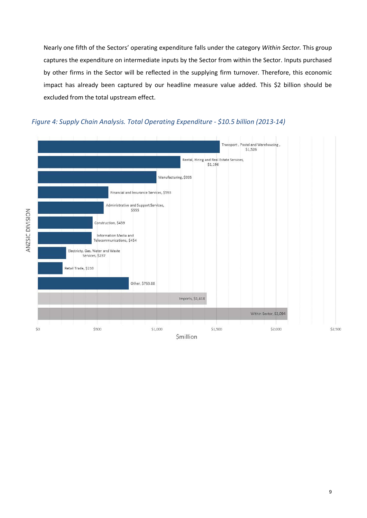Nearly one fifth of the Sectors' operating expenditure falls under the category *Within Sector.* This group captures the expenditure on intermediate inputs by the Sector from within the Sector. Inputs purchased by other firms in the Sector will be reflected in the supplying firm turnover. Therefore, this economic impact has already been captured by our headline measure value added. This \$2 billion should be excluded from the total upstream effect.



#### *Figure 4: Supply Chain Analysis. Total Operating Expenditure - \$10.5 billion (2013-14)*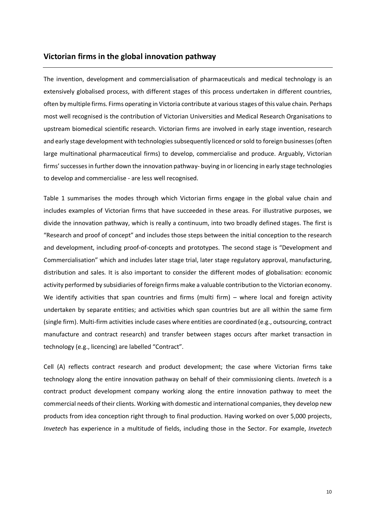#### <span id="page-17-0"></span>**Victorian firms in the global innovation pathway**

The invention, development and commercialisation of pharmaceuticals and medical technology is an extensively globalised process, with different stages of this process undertaken in different countries, often by multiple firms. Firms operating in Victoria contribute at various stages of this value chain. Perhaps most well recognised is the contribution of Victorian Universities and Medical Research Organisations to upstream biomedical scientific research. Victorian firms are involved in early stage invention, research and early stage development with technologies subsequently licenced or sold to foreign businesses(often large multinational pharmaceutical firms) to develop, commercialise and produce. Arguably, Victorian firms' successes in further down the innovation pathway- buying in or licencing in early stage technologies to develop and commercialise - are less well recognised.

Table 1 summarises the modes through which Victorian firms engage in the global value chain and includes examples of Victorian firms that have succeeded in these areas. For illustrative purposes, we divide the innovation pathway, which is really a continuum, into two broadly defined stages. The first is "Research and proof of concept" and includes those steps between the initial conception to the research and development, including proof-of-concepts and prototypes. The second stage is "Development and Commercialisation" which and includes later stage trial, later stage regulatory approval, manufacturing, distribution and sales. It is also important to consider the different modes of globalisation: economic activity performed by subsidiaries of foreign firms make a valuable contribution to the Victorian economy. We identify activities that span countries and firms (multi firm) – where local and foreign activity undertaken by separate entities; and activities which span countries but are all within the same firm (single firm). Multi-firm activities include cases where entities are coordinated (e.g., outsourcing, contract manufacture and contract research) and transfer between stages occurs after market transaction in technology (e.g., licencing) are labelled "Contract".

Cell (A) reflects contract research and product development; the case where Victorian firms take technology along the entire innovation pathway on behalf of their commissioning clients. *Invetech* is a contract product development company working along the entire innovation pathway to meet the commercial needs of their clients. Working with domestic and international companies, they develop new products from idea conception right through to final production. Having worked on over 5,000 projects, *Invetech* has experience in a multitude of fields, including those in the Sector. For example, *Invetech*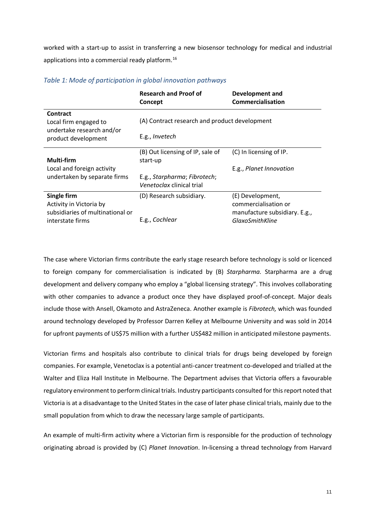worked with a start-up to assist in transferring a new biosensor technology for medical and industrial applications into a commercial ready platform.<sup>[16](#page-51-16)</sup>

|                                                                                                | <b>Research and Proof of</b><br>Concept                                                                          | Development and<br>Commercialisation                                                                |
|------------------------------------------------------------------------------------------------|------------------------------------------------------------------------------------------------------------------|-----------------------------------------------------------------------------------------------------|
| Contract<br>Local firm engaged to<br>undertake research and/or<br>product development          | (A) Contract research and product development<br>E.g., Invetech                                                  |                                                                                                     |
| Multi-firm<br>Local and foreign activity<br>undertaken by separate firms                       | (B) Out licensing of IP, sale of<br>start-up<br>E.g., Starpharma; Fibrotech;<br><i>Venetoclax</i> clinical trial | (C) In licensing of IP.<br>E.g., Planet Innovation                                                  |
| Single firm<br>Activity in Victoria by<br>subsidiaries of multinational or<br>interstate firms | (D) Research subsidiary.<br>E.g., Cochlear                                                                       | (E) Development,<br>commercialisation or<br>manufacture subsidiary. E.g.,<br><b>GlaxoSmithKline</b> |

#### <span id="page-18-0"></span>*Table 1: Mode of participation in global innovation pathways*

The case where Victorian firms contribute the early stage research before technology is sold or licenced to foreign company for commercialisation is indicated by (B) *Starpharma.* Starpharma are a drug development and delivery company who employ a "global licensing strategy". This involves collaborating with other companies to advance a product once they have displayed proof-of-concept. Major deals include those with Ansell, Okamoto and AstraZeneca. Another example is *Fibrotech,* which was founded around technology developed by Professor Darren Kelley at Melbourne University and was sold in 2014 for upfront payments of US\$75 million with a further US\$482 million in anticipated milestone payments.

Victorian firms and hospitals also contribute to clinical trials for drugs being developed by foreign companies. For example, Venetoclax is a potential anti-cancer treatment co-developed and trialled at the Walter and Eliza Hall Institute in Melbourne. The Department advises that Victoria offers a favourable regulatory environment to perform clinical trials. Industry participants consulted for this report noted that Victoria is at a disadvantage to the United States in the case of later phase clinical trials, mainly due to the small population from which to draw the necessary large sample of participants.

An example of multi-firm activity where a Victorian firm is responsible for the production of technology originating abroad is provided by (C) *Planet Innovation*. In-licensing a thread technology from Harvard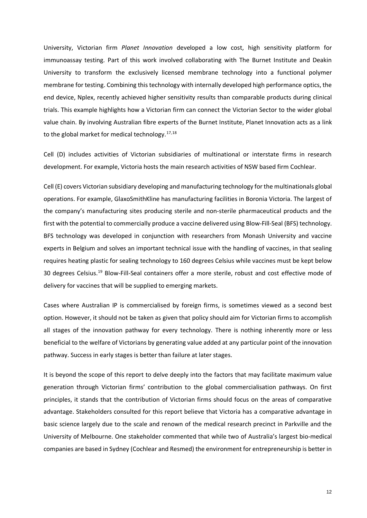University, Victorian firm *Planet Innovation* developed a low cost, high sensitivity platform for immunoassay testing. Part of this work involved collaborating with The Burnet Institute and Deakin University to transform the exclusively licensed membrane technology into a functional polymer membrane for testing. Combining this technology with internally developed high performance optics, the end device, Nplex, recently achieved higher sensitivity results than comparable products during clinical trials. This example highlights how a Victorian firm can connect the Victorian Sector to the wider global value chain. By involving Australian fibre experts of the Burnet Institute, Planet Innovation acts as a link to the global market for medical technology.<sup>[17](#page-51-17),[18](#page-51-18)</sup>

Cell (D) includes activities of Victorian subsidiaries of multinational or interstate firms in research development. For example, Victoria hosts the main research activities of NSW based firm Cochlear.

Cell (E) covers Victorian subsidiary developing and manufacturing technology for the multinationals global operations. For example, GlaxoSmithKline has manufacturing facilities in Boronia Victoria. The largest of the company's manufacturing sites producing sterile and non-sterile pharmaceutical products and the first with the potential to commercially produce a vaccine delivered using Blow-Fill-Seal (BFS) technology. BFS technology was developed in conjunction with researchers from Monash University and vaccine experts in Belgium and solves an important technical issue with the handling of vaccines, in that sealing requires heating plastic for sealing technology to 160 degrees Celsius while vaccines must be kept below 30 degrees Celsius.[19](#page-51-19) Blow-Fill-Seal containers offer a more sterile, robust and cost effective mode of delivery for vaccines that will be supplied to emerging markets.

Cases where Australian IP is commercialised by foreign firms, is sometimes viewed as a second best option. However, it should not be taken as given that policy should aim for Victorian firms to accomplish all stages of the innovation pathway for every technology. There is nothing inherently more or less beneficial to the welfare of Victorians by generating value added at any particular point of the innovation pathway. Success in early stages is better than failure at later stages.

It is beyond the scope of this report to delve deeply into the factors that may facilitate maximum value generation through Victorian firms' contribution to the global commercialisation pathways. On first principles, it stands that the contribution of Victorian firms should focus on the areas of comparative advantage. Stakeholders consulted for this report believe that Victoria has a comparative advantage in basic science largely due to the scale and renown of the medical research precinct in Parkville and the University of Melbourne. One stakeholder commented that while two of Australia's largest bio-medical companies are based in Sydney (Cochlear and Resmed) the environment for entrepreneurship is better in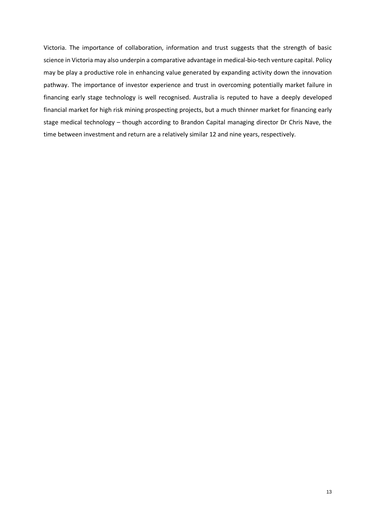Victoria. The importance of collaboration, information and trust suggests that the strength of basic science in Victoria may also underpin a comparative advantage in medical-bio-tech venture capital. Policy may be play a productive role in enhancing value generated by expanding activity down the innovation pathway. The importance of investor experience and trust in overcoming potentially market failure in financing early stage technology is well recognised. Australia is reputed to have a deeply developed financial market for high risk mining prospecting projects, but a much thinner market for financing early stage medical technology – though according to Brandon Capital managing director Dr Chris Nave, the time between investment and return are a relatively similar 12 and nine years, respectively.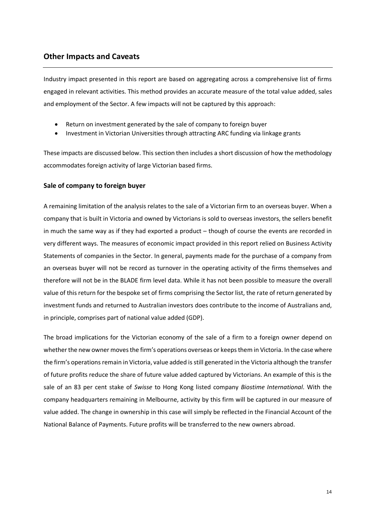#### <span id="page-21-0"></span>**Other Impacts and Caveats**

Industry impact presented in this report are based on aggregating across a comprehensive list of firms engaged in relevant activities. This method provides an accurate measure of the total value added, sales and employment of the Sector. A few impacts will not be captured by this approach:

- Return on investment generated by the sale of company to foreign buyer
- Investment in Victorian Universities through attracting ARC funding via linkage grants

These impacts are discussed below. This section then includes a short discussion of how the methodology accommodates foreign activity of large Victorian based firms.

#### <span id="page-21-1"></span>**Sale of company to foreign buyer**

A remaining limitation of the analysis relates to the sale of a Victorian firm to an overseas buyer. When a company that is built in Victoria and owned by Victorians is sold to overseas investors, the sellers benefit in much the same way as if they had exported a product – though of course the events are recorded in very different ways. The measures of economic impact provided in this report relied on Business Activity Statements of companies in the Sector. In general, payments made for the purchase of a company from an overseas buyer will not be record as turnover in the operating activity of the firms themselves and therefore will not be in the BLADE firm level data. While it has not been possible to measure the overall value of this return for the bespoke set of firms comprising the Sector list, the rate of return generated by investment funds and returned to Australian investors does contribute to the income of Australians and, in principle, comprises part of national value added (GDP).

The broad implications for the Victorian economy of the sale of a firm to a foreign owner depend on whether the new owner moves the firm's operations overseas or keeps them in Victoria. In the case where the firm's operations remain in Victoria, value added is still generated in the Victoria although the transfer of future profits reduce the share of future value added captured by Victorians. An example of this is the sale of an 83 per cent stake of *Swisse* to Hong Kong listed company *Biostime International*. With the company headquarters remaining in Melbourne, activity by this firm will be captured in our measure of value added. The change in ownership in this case will simply be reflected in the Financial Account of the National Balance of Payments. Future profits will be transferred to the new owners abroad.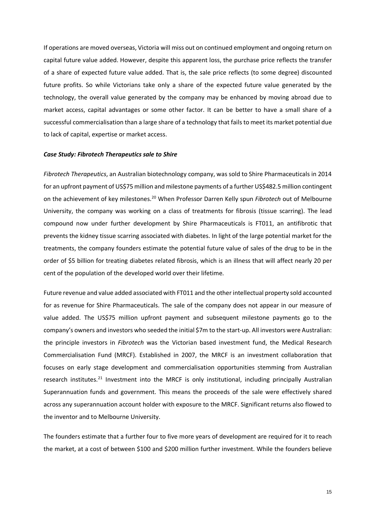If operations are moved overseas, Victoria will miss out on continued employment and ongoing return on capital future value added. However, despite this apparent loss, the purchase price reflects the transfer of a share of expected future value added. That is, the sale price reflects (to some degree) discounted future profits. So while Victorians take only a share of the expected future value generated by the technology, the overall value generated by the company may be enhanced by moving abroad due to market access, capital advantages or some other factor. It can be better to have a small share of a successful commercialisation than a large share of a technology that fails to meet its market potential due to lack of capital, expertise or market access.

#### *Case Study: Fibrotech Therapeutics sale to Shire*

*Fibrotech Therapeutics*, an Australian biotechnology company, was sold to Shire Pharmaceuticals in 2014 for an upfront payment of US\$75 million and milestone payments of a further US\$482.5 million contingent on the achievement of key milestones.[20](#page-51-20) When Professor Darren Kelly spun *Fibrotech* out of Melbourne University, the company was working on a class of treatments for fibrosis (tissue scarring). The lead compound now under further development by Shire Pharmaceuticals is FT011, an antifibrotic that prevents the kidney tissue scarring associated with diabetes. In light of the large potential market for the treatments, the company founders estimate the potential future value of sales of the drug to be in the order of \$5 billion for treating diabetes related fibrosis, which is an illness that will affect nearly 20 per cent of the population of the developed world over their lifetime.

Future revenue and value added associated with FT011 and the other intellectual property sold accounted for as revenue for Shire Pharmaceuticals. The sale of the company does not appear in our measure of value added. The US\$75 million upfront payment and subsequent milestone payments go to the company's owners and investors who seeded the initial \$7m to the start-up. All investors were Australian: the principle investors in *Fibrotech* was the Victorian based investment fund, the Medical Research Commercialisation Fund (MRCF). Established in 2007, the MRCF is an investment collaboration that focuses on early stage development and commercialisation opportunities stemming from Australian research institutes.<sup>[21](#page-51-21)</sup> Investment into the MRCF is only institutional, including principally Australian Superannuation funds and government. This means the proceeds of the sale were effectively shared across any superannuation account holder with exposure to the MRCF. Significant returns also flowed to the inventor and to Melbourne University.

The founders estimate that a further four to five more years of development are required for it to reach the market, at a cost of between \$100 and \$200 million further investment. While the founders believe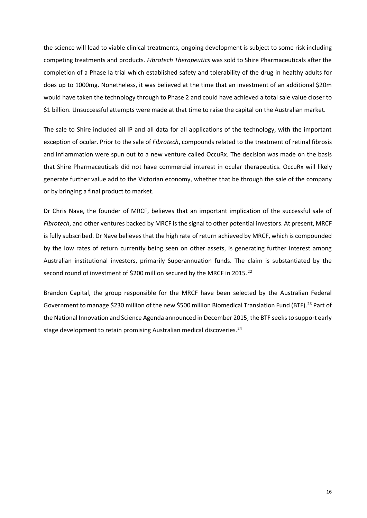the science will lead to viable clinical treatments, ongoing development is subject to some risk including competing treatments and products. *Fibrotech Therapeutics* was sold to Shire Pharmaceuticals after the completion of a Phase Ia trial which established safety and tolerability of the drug in healthy adults for does up to 1000mg. Nonetheless, it was believed at the time that an investment of an additional \$20m would have taken the technology through to Phase 2 and could have achieved a total sale value closer to \$1 billion. Unsuccessful attempts were made at that time to raise the capital on the Australian market.

The sale to Shire included all IP and all data for all applications of the technology, with the important exception of ocular. Prior to the sale of *Fibrotech*, compounds related to the treatment of retinal fibrosis and inflammation were spun out to a new venture called OccuRx. The decision was made on the basis that Shire Pharmaceuticals did not have commercial interest in ocular therapeutics. OccuRx will likely generate further value add to the Victorian economy, whether that be through the sale of the company or by bringing a final product to market.

Dr Chris Nave, the founder of MRCF, believes that an important implication of the successful sale of *Fibrotech*, and other ventures backed by MRCF is the signal to other potential investors. At present, MRCF is fully subscribed. Dr Nave believes that the high rate of return achieved by MRCF, which is compounded by the low rates of return currently being seen on other assets, is generating further interest among Australian institutional investors, primarily Superannuation funds. The claim is substantiated by the second round of investment of \$200 million secured by the MRCF in 2015.<sup>[22](#page-51-22)</sup>

Brandon Capital, the group responsible for the MRCF have been selected by the Australian Federal Government to manage \$[23](#page-51-23)0 million of the new \$500 million Biomedical Translation Fund (BTF).<sup>23</sup> Part of the National Innovation and Science Agenda announced in December 2015, the BTF seeks to support early stage development to retain promising Australian medical discoveries.<sup>24</sup>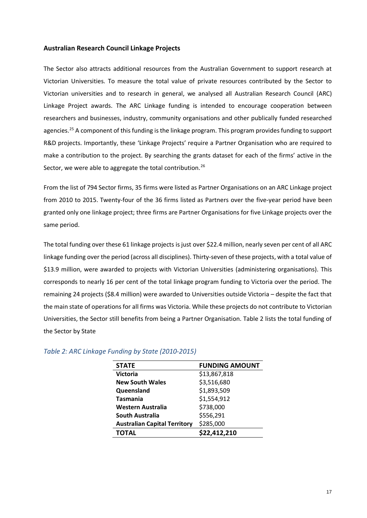#### <span id="page-24-0"></span>**Australian Research Council Linkage Projects**

The Sector also attracts additional resources from the Australian Government to support research at Victorian Universities. To measure the total value of private resources contributed by the Sector to Victorian universities and to research in general, we analysed all Australian Research Council (ARC) Linkage Project awards. The ARC Linkage funding is intended to encourage cooperation between researchers and businesses, industry, community organisations and other publically funded researched agencies.<sup>[25](#page-52-0)</sup> A component of this funding is the linkage program. This program provides funding to support R&D projects. Importantly, these 'Linkage Projects' require a Partner Organisation who are required to make a contribution to the project. By searching the grants dataset for each of the firms' active in the Sector, we were able to aggregate the total contribution.<sup>[26](#page-52-1)</sup>

From the list of 794 Sector firms, 35 firms were listed as Partner Organisations on an ARC Linkage project from 2010 to 2015. Twenty-four of the 36 firms listed as Partners over the five-year period have been granted only one linkage project; three firms are Partner Organisations for five Linkage projects over the same period.

The total funding over these 61 linkage projects is just over \$22.4 million, nearly seven per cent of all ARC linkage funding over the period (across all disciplines). Thirty-seven of these projects, with a total value of \$13.9 million, were awarded to projects with Victorian Universities (administering organisations). This corresponds to nearly 16 per cent of the total linkage program funding to Victoria over the period. The remaining 24 projects (\$8.4 million) were awarded to Universities outside Victoria – despite the fact that the main state of operations for all firms was Victoria. While these projects do not contribute to Victorian Universities, the Sector still benefits from being a Partner Organisation. Table 2 lists the total funding of the Sector by State

| <b>STATE</b>                        | <b>FUNDING AMOUNT</b> |
|-------------------------------------|-----------------------|
| <b>Victoria</b>                     | \$13,867,818          |
| <b>New South Wales</b>              | \$3,516,680           |
| Queensland                          | \$1,893,509           |
| <b>Tasmania</b>                     | \$1,554,912           |
| Western Australia                   | \$738,000             |
| South Australia                     | \$556,291             |
| <b>Australian Capital Territory</b> | \$285,000             |
| <b>TOTAL</b>                        | \$22,412,210          |

#### <span id="page-24-1"></span>*Table 2: ARC Linkage Funding by State (2010-2015)*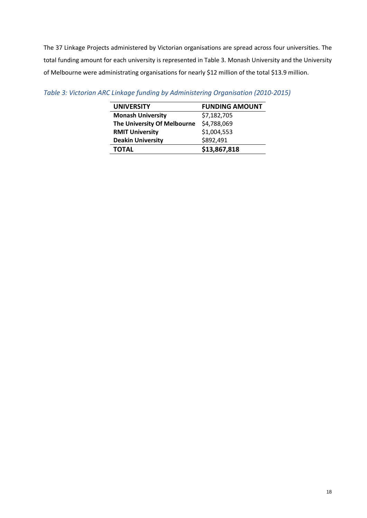The 37 Linkage Projects administered by Victorian organisations are spread across four universities. The total funding amount for each university is represented in Table 3. Monash University and the University of Melbourne were administrating organisations for nearly \$12 million of the total \$13.9 million.

| <b>UNIVERSITY</b>           | <b>FUNDING AMOUNT</b> |
|-----------------------------|-----------------------|
| <b>Monash University</b>    | \$7,182,705           |
| The University Of Melbourne | \$4,788,069           |
| <b>RMIT University</b>      | \$1,004,553           |
| <b>Deakin University</b>    | \$892,491             |
| <b>TOTAL</b>                | \$13,867,818          |

<span id="page-25-0"></span>*Table 3: Victorian ARC Linkage funding by Administering Organisation (2010-2015)*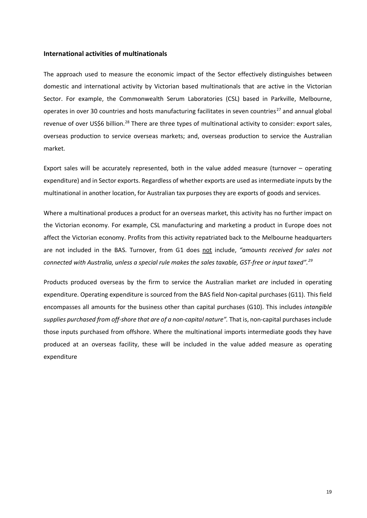#### <span id="page-26-0"></span>**International activities of multinationals**

The approach used to measure the economic impact of the Sector effectively distinguishes between domestic and international activity by Victorian based multinationals that are active in the Victorian Sector. For example, the Commonwealth Serum Laboratories (CSL) based in Parkville, Melbourne, operates in over 30 countries and hosts manufacturing facilitates in seven countries<sup>[27](#page-52-2)</sup> and annual global revenue of over US\$6 billion.<sup>[28](#page-52-3)</sup> There are three types of multinational activity to consider: export sales, overseas production to service overseas markets; and, overseas production to service the Australian market.

Export sales will be accurately represented, both in the value added measure (turnover – operating expenditure) and in Sector exports. Regardless of whether exports are used as intermediate inputs by the multinational in another location, for Australian tax purposes they are exports of goods and services.

Where a multinational produces a product for an overseas market, this activity has no further impact on the Victorian economy. For example, CSL manufacturing and marketing a product in Europe does not affect the Victorian economy. Profits from this activity repatriated back to the Melbourne headquarters are not included in the BAS. Turnover, from G1 does not include, *"amounts received for sales not connected with Australia, unless a special rule makes the sales taxable, GST-free or input taxed".[29](#page-52-4)*

Products produced overseas by the firm to service the Australian market *are* included in operating expenditure. Operating expenditure is sourced from the BAS field Non-capital purchases (G11). This field encompasses all amounts for the business other than capital purchases (G10). This includes *intangible supplies purchased from off-shore that are of a non-capital nature".* That is, non-capital purchases include those inputs purchased from offshore. Where the multinational imports intermediate goods they have produced at an overseas facility, these will be included in the value added measure as operating expenditure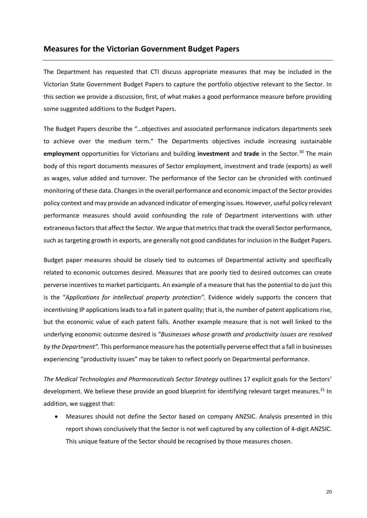#### <span id="page-27-0"></span>**Measures for the Victorian Government Budget Papers**

The Department has requested that CTI discuss appropriate measures that may be included in the Victorian State Government Budget Papers to capture the portfolio objective relevant to the Sector. In this section we provide a discussion, first, of what makes a good performance measure before providing some suggested additions to the Budget Papers.

The Budget Papers describe the "…objectives and associated performance indicators departments seek to achieve over the medium term." The Departments objectives include increasing sustainable employment opportunities for Victorians and building investment and trade in the Sector.<sup>[30](#page-52-5)</sup> The main body of this report documents measures of Sector employment, investment and trade (exports) as well as wages, value added and turnover. The performance of the Sector can be chronicled with continued monitoring of these data. Changes in the overall performance and economic impact of the Sector provides policy context and may provide an advanced indicator of emerging issues. However, useful policy relevant performance measures should avoid confounding the role of Department interventions with other extraneous factors that affect the Sector. We argue that metrics that track the overall Sector performance, such as targeting growth in exports, are generally not good candidates for inclusion in the Budget Papers.

Budget paper measures should be closely tied to outcomes of Departmental activity and specifically related to economic outcomes desired. Measures that are poorly tied to desired outcomes can create perverse incentives to market participants. An example of a measure that has the potential to do just this is the "*Applications for intellectual property protection"*. Evidence widely supports the concern that incentivising IP applications leads to a fall in patent quality; that is, the number of patent applications rise, but the economic value of each patent falls. Another example measure that is not well linked to the underlying economic outcome desired is "*Businesses whose growth and productivity issues are resolved by the Department".* This performance measure has the potentially perverse effect that a fall in businesses experiencing "productivity issues" may be taken to reflect poorly on Departmental performance.

*The Medical Technologies and Pharmaceuticals Sector Strategy* outlines 17 explicit goals for the Sectors' development. We believe these provide an good blueprint for identifying relevant target measures.<sup>[31](#page-52-6)</sup> In addition, we suggest that:

• Measures should not define the Sector based on company ANZSIC. Analysis presented in this report shows conclusively that the Sector is not well captured by any collection of 4-digit ANZSIC. This unique feature of the Sector should be recognised by those measures chosen.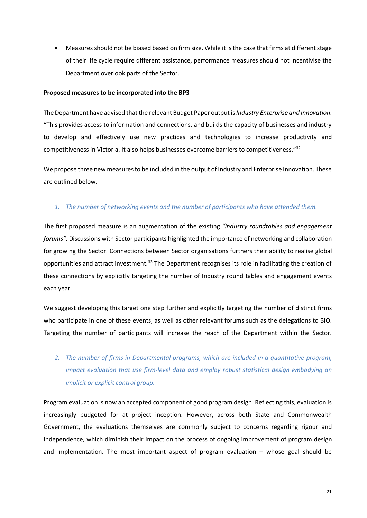• Measures should not be biased based on firm size. While it is the case that firms at different stage of their life cycle require different assistance, performance measures should not incentivise the Department overlook parts of the Sector.

#### **Proposed measures to be incorporated into the BP3**

The Department have advised that the relevant Budget Paper output is *Industry Enterprise and Innovation*. "This provides access to information and connections, and builds the capacity of businesses and industry to develop and effectively use new practices and technologies to increase productivity and competitiveness in Victoria. It also helps businesses overcome barriers to competitiveness."[32](#page-52-7)

We propose three new measures to be included in the output of Industry and Enterprise Innovation. These are outlined below.

#### *1. The number of networking events and the number of participants who have attended them.*

The first proposed measure is an augmentation of the existing *"Industry roundtables and engagement forums".* Discussions with Sector participants highlighted the importance of networking and collaboration for growing the Sector. Connections between Sector organisations furthers their ability to realise global opportunities and attract investment.<sup>[33](#page-52-8)</sup> The Department recognises its role in facilitating the creation of these connections by explicitly targeting the number of Industry round tables and engagement events each year.

We suggest developing this target one step further and explicitly targeting the number of distinct firms who participate in one of these events, as well as other relevant forums such as the delegations to BIO. Targeting the number of participants will increase the reach of the Department within the Sector.

## *2. The number of firms in Departmental programs, which are included in a quantitative program, impact evaluation that use firm-level data and employ robust statistical design embodying an implicit or explicit control group.*

Program evaluation is now an accepted component of good program design. Reflecting this, evaluation is increasingly budgeted for at project inception. However, across both State and Commonwealth Government, the evaluations themselves are commonly subject to concerns regarding rigour and independence, which diminish their impact on the process of ongoing improvement of program design and implementation. The most important aspect of program evaluation – whose goal should be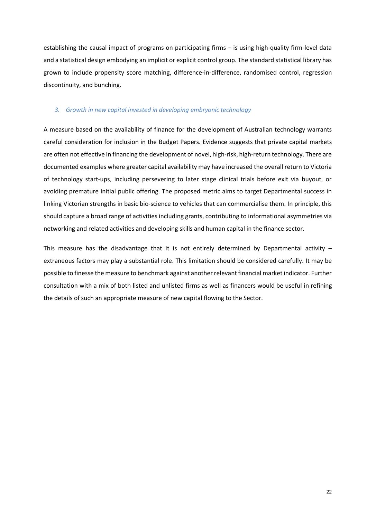establishing the causal impact of programs on participating firms – is using high-quality firm-level data and a statistical design embodying an implicit or explicit control group. The standard statistical library has grown to include propensity score matching, difference-in-difference, randomised control, regression discontinuity, and bunching.

#### *3. Growth in new capital invested in developing embryonic technology*

A measure based on the availability of finance for the development of Australian technology warrants careful consideration for inclusion in the Budget Papers. Evidence suggests that private capital markets are often not effective in financing the development of novel, high-risk, high-return technology. There are documented examples where greater capital availability may have increased the overall return to Victoria of technology start-ups, including persevering to later stage clinical trials before exit via buyout, or avoiding premature initial public offering. The proposed metric aims to target Departmental success in linking Victorian strengths in basic bio-science to vehicles that can commercialise them. In principle, this should capture a broad range of activities including grants, contributing to informational asymmetries via networking and related activities and developing skills and human capital in the finance sector.

This measure has the disadvantage that it is not entirely determined by Departmental activity – extraneous factors may play a substantial role. This limitation should be considered carefully. It may be possible to finesse the measure to benchmark against another relevant financial market indicator. Further consultation with a mix of both listed and unlisted firms as well as financers would be useful in refining the details of such an appropriate measure of new capital flowing to the Sector.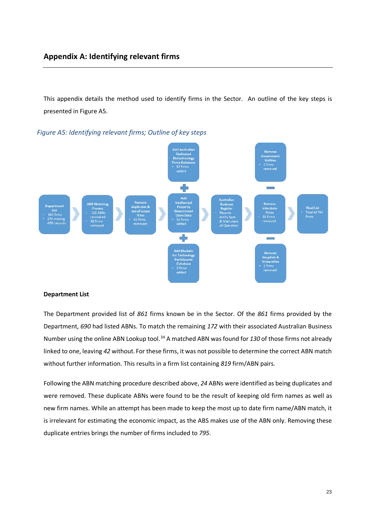<span id="page-30-0"></span>This appendix details the method used to identify firms in the Sector. An outline of the key steps is presented in Figure A5.





#### **Department List**

The Department provided list of *861* firms known be in the Sector. Of the *861* firms provided by the Department, *690* had listed ABNs. To match the remaining *172* with their associated Australian Business Number using the online ABN Lookup tool.[34](#page-52-9) A matched ABN was found for *130* of those firms not already linked to one, leaving *42* without. For these firms, it was not possible to determine the correct ABN match without further information. This results in a firm list containing *819* firm/ABN pairs.

Following the ABN matching procedure described above, *24* ABNs were identified as being duplicates and were removed. These duplicate ABNs were found to be the result of keeping old firm names as well as new firm names. While an attempt has been made to keep the most up to date firm name/ABN match, it is irrelevant for estimating the economic impact, as the ABS makes use of the ABN only. Removing these duplicate entries brings the number of firms included to *795*.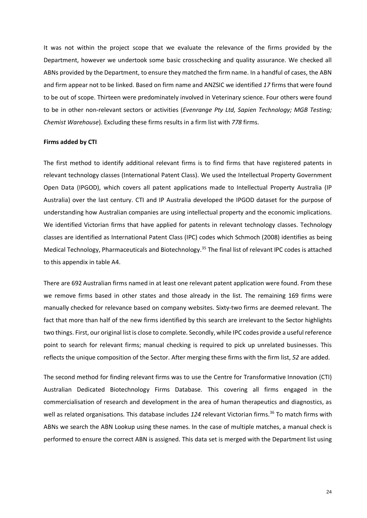It was not within the project scope that we evaluate the relevance of the firms provided by the Department, however we undertook some basic crosschecking and quality assurance. We checked all ABNs provided by the Department, to ensure they matched the firm name. In a handful of cases, the ABN and firm appear not to be linked. Based on firm name and ANZSIC we identified *17* firms that were found to be out of scope. Thirteen were predominately involved in Veterinary science. Four others were found to be in other non-relevant sectors or activities (*Evenrange Pty Ltd, Sapien Technology; MGB Testing; Chemist Warehouse*). Excluding these firms results in a firm list with *778* firms.

#### **Firms added by CTI**

The first method to identify additional relevant firms is to find firms that have registered patents in relevant technology classes (International Patent Class). We used the Intellectual Property Government Open Data (IPGOD), which covers all patent applications made to Intellectual Property Australia (IP Australia) over the last century. CTI and IP Australia developed the IPGOD dataset for the purpose of understanding how Australian companies are using intellectual property and the economic implications. We identified Victorian firms that have applied for patents in relevant technology classes. Technology classes are identified as International Patent Class (IPC) codes which Schmoch (2008) identifies as being Medical Technology, Pharmaceuticals and Biotechnology.<sup>[35](#page-52-10)</sup> The final list of relevant IPC codes is attached to this appendix in table A4.

There are 692 Australian firms named in at least one relevant patent application were found. From these we remove firms based in other states and those already in the list. The remaining 169 firms were manually checked for relevance based on company websites. Sixty-two firms are deemed relevant. The fact that more than half of the new firms identified by this search are irrelevant to the Sector highlights two things. First, our original list is close to complete. Secondly, while IPC codes provide a useful reference point to search for relevant firms; manual checking is required to pick up unrelated businesses. This reflects the unique composition of the Sector. After merging these firms with the firm list, *52* are added.

The second method for finding relevant firms was to use the Centre for Transformative Innovation (CTI) Australian Dedicated Biotechnology Firms Database. This covering all firms engaged in the commercialisation of research and development in the area of human therapeutics and diagnostics, as well as related organisations. This database includes *124* relevant Victorian firms.[36](#page-52-11) To match firms with ABNs we search the ABN Lookup using these names. In the case of multiple matches, a manual check is performed to ensure the correct ABN is assigned. This data set is merged with the Department list using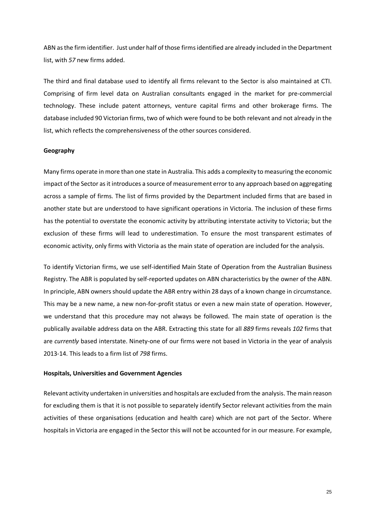ABN as the firm identifier. Just under half of those firms identified are already included in the Department list, with *57* new firms added.

The third and final database used to identify all firms relevant to the Sector is also maintained at CTI. Comprising of firm level data on Australian consultants engaged in the market for pre-commercial technology. These include patent attorneys, venture capital firms and other brokerage firms. The database included 90 Victorian firms, two of which were found to be both relevant and not already in the list, which reflects the comprehensiveness of the other sources considered.

#### **Geography**

Many firms operate in more than one state in Australia. This adds a complexity to measuring the economic impact of the Sector as it introduces a source of measurement error to any approach based on aggregating across a sample of firms. The list of firms provided by the Department included firms that are based in another state but are understood to have significant operations in Victoria. The inclusion of these firms has the potential to overstate the economic activity by attributing interstate activity to Victoria; but the exclusion of these firms will lead to underestimation. To ensure the most transparent estimates of economic activity, only firms with Victoria as the main state of operation are included for the analysis.

To identify Victorian firms, we use self-identified Main State of Operation from the Australian Business Registry. The ABR is populated by self-reported updates on ABN characteristics by the owner of the ABN. In principle, ABN owners should update the ABR entry within 28 days of a known change in circumstance. This may be a new name, a new non-for-profit status or even a new main state of operation. However, we understand that this procedure may not always be followed. The main state of operation is the publically available address data on the ABR. Extracting this state for all *889* firms reveals *102* firms that are *currently* based interstate. Ninety-one of our firms were not based in Victoria in the year of analysis 2013-14. This leads to a firm list of *798* firms.

#### **Hospitals, Universities and Government Agencies**

Relevant activity undertaken in universities and hospitals are excluded from the analysis. The main reason for excluding them is that it is not possible to separately identify Sector relevant activities from the main activities of these organisations (education and health care) which are not part of the Sector. Where hospitals in Victoria are engaged in the Sector this will not be accounted for in our measure. For example,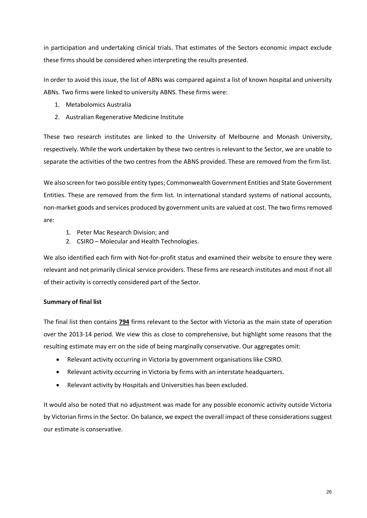in participation and undertaking clinical trials. That estimates of the Sectors economic impact exclude these firms should be considered when interpreting the results presented.

In order to avoid this issue, the list of ABNs was compared against a list of known hospital and university ABNs. Two firms were linked to university ABNS. These firms were:

- 1. Metabolomics Australia
- 2. Australian Regenerative Medicine Institute

These two research institutes are linked to the University of Melbourne and Monash University, respectively. While the work undertaken by these two centres is relevant to the Sector, we are unable to separate the activities of the two centres from the ABNS provided. These are removed from the firm list.

We also screen for two possible entity types; Commonwealth Government Entities and State Government Entities. These are removed from the firm list. In international standard systems of national accounts, non-market goods and services produced by government units are valued at cost. The two firms removed are:

- 1. Peter Mac Research Division; and
- 2. CSIRO Molecular and Health Technologies.

We also identified each firm with Not-for-profit status and examined their website to ensure they were relevant and not primarily clinical service providers. These firms are research institutes and most if not all of their activity is correctly considered part of the Sector.

#### **Summary of final list**

The final list then contains **794** firms relevant to the Sector with Victoria as the main state of operation over the 2013-14 period. We view this as close to comprehensive, but highlight some reasons that the resulting estimate may err on the side of being marginally conservative. Our aggregates omit:

- Relevant activity occurring in Victoria by government organisations like CSIRO.
- Relevant activity occurring in Victoria by firms with an interstate headquarters.
- Relevant activity by Hospitals and Universities has been excluded.

It would also be noted that no adjustment was made for any possible economic activity outside Victoria by Victorian firms in the Sector. On balance, we expect the overall impact of these considerations suggest our estimate is conservative.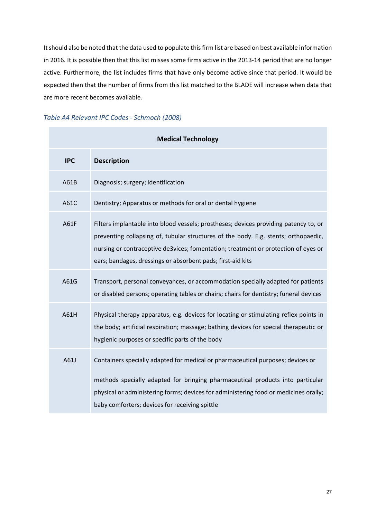It should also be noted that the data used to populate this firm list are based on best available information in 2016. It is possible then that this list misses some firms active in the 2013-14 period that are no longer active. Furthermore, the list includes firms that have only become active since that period. It would be expected then that the number of firms from this list matched to the BLADE will increase when data that are more recent becomes available.

#### <span id="page-34-0"></span>*Table A4 Relevant IPC Codes - Schmoch (2008)*

| <b>Medical Technology</b> |                                                                                                                                                                                                                                                                                                                                  |  |
|---------------------------|----------------------------------------------------------------------------------------------------------------------------------------------------------------------------------------------------------------------------------------------------------------------------------------------------------------------------------|--|
| <b>IPC</b>                | <b>Description</b>                                                                                                                                                                                                                                                                                                               |  |
| A61B                      | Diagnosis; surgery; identification                                                                                                                                                                                                                                                                                               |  |
| A61C                      | Dentistry; Apparatus or methods for oral or dental hygiene                                                                                                                                                                                                                                                                       |  |
| A61F                      | Filters implantable into blood vessels; prostheses; devices providing patency to, or<br>preventing collapsing of, tubular structures of the body. E.g. stents; orthopaedic,<br>nursing or contraceptive de3vices; fomentation; treatment or protection of eyes or<br>ears; bandages, dressings or absorbent pads; first-aid kits |  |
| A61G                      | Transport, personal conveyances, or accommodation specially adapted for patients<br>or disabled persons; operating tables or chairs; chairs for dentistry; funeral devices                                                                                                                                                       |  |
| A61H                      | Physical therapy apparatus, e.g. devices for locating or stimulating reflex points in<br>the body; artificial respiration; massage; bathing devices for special therapeutic or<br>hygienic purposes or specific parts of the body                                                                                                |  |
| A61J                      | Containers specially adapted for medical or pharmaceutical purposes; devices or<br>methods specially adapted for bringing pharmaceutical products into particular<br>physical or administering forms; devices for administering food or medicines orally;<br>baby comforters; devices for receiving spittle                      |  |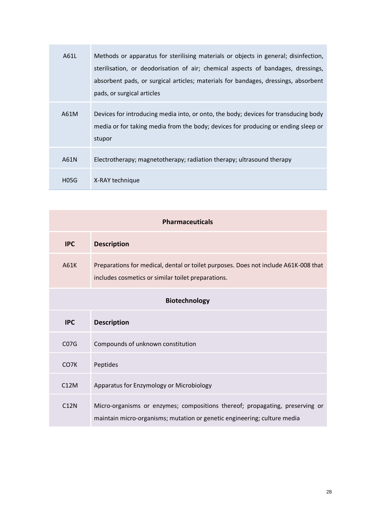| A61L | Methods or apparatus for sterilising materials or objects in general; disinfection,<br>sterilisation, or deodorisation of air; chemical aspects of bandages, dressings,<br>absorbent pads, or surgical articles; materials for bandages, dressings, absorbent<br>pads, or surgical articles |
|------|---------------------------------------------------------------------------------------------------------------------------------------------------------------------------------------------------------------------------------------------------------------------------------------------|
| A61M | Devices for introducing media into, or onto, the body; devices for transducing body<br>media or for taking media from the body; devices for producing or ending sleep or<br>stupor                                                                                                          |
| A61N | Electrotherapy; magnetotherapy; radiation therapy; ultrasound therapy                                                                                                                                                                                                                       |
| H05G | X-RAY technique                                                                                                                                                                                                                                                                             |

×

| <b>Pharmaceuticals</b> |                                                                                                                                                          |  |
|------------------------|----------------------------------------------------------------------------------------------------------------------------------------------------------|--|
| <b>IPC</b>             | <b>Description</b>                                                                                                                                       |  |
| A61K                   | Preparations for medical, dental or toilet purposes. Does not include A61K-008 that<br>includes cosmetics or similar toilet preparations.                |  |
| <b>Biotechnology</b>   |                                                                                                                                                          |  |
| <b>IPC</b>             | <b>Description</b>                                                                                                                                       |  |
| CO7G                   | Compounds of unknown constitution                                                                                                                        |  |
| CO7K                   | Peptides                                                                                                                                                 |  |
| C12M                   | Apparatus for Enzymology or Microbiology                                                                                                                 |  |
| C12N                   | Micro-organisms or enzymes; compositions thereof; propagating, preserving or<br>maintain micro-organisms; mutation or genetic engineering; culture media |  |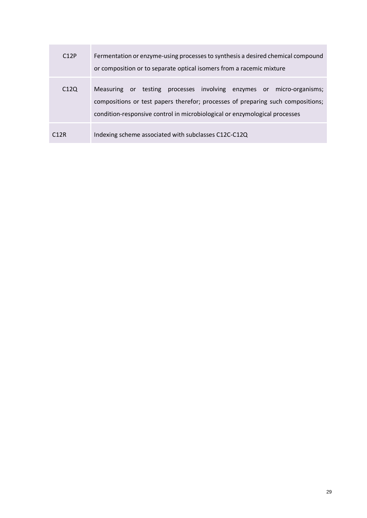| C12P | Fermentation or enzyme-using processes to synthesis a desired chemical compound<br>or composition or to separate optical isomers from a racemic mixture                                                                               |
|------|---------------------------------------------------------------------------------------------------------------------------------------------------------------------------------------------------------------------------------------|
| C12Q | Measuring or testing processes involving enzymes or micro-organisms;<br>compositions or test papers therefor; processes of preparing such compositions;<br>condition-responsive control in microbiological or enzymological processes |
| C12R | Indexing scheme associated with subclasses C12C-C12Q                                                                                                                                                                                  |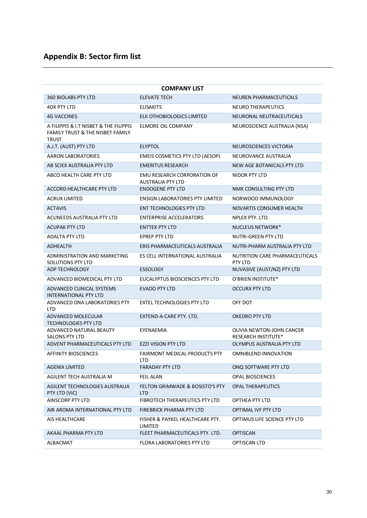## <span id="page-37-0"></span>**Appendix B: Sector firm list**

|                                                                                                       | <b>COMPANY LIST</b>                              |                                                         |
|-------------------------------------------------------------------------------------------------------|--------------------------------------------------|---------------------------------------------------------|
| <b>360 BIOLABS PTY LTD</b>                                                                            | <b>ELEVATE TECH</b>                              | <b>NEUREN PHARMACEUTICALS</b>                           |
| 4DX PTY LTD                                                                                           | <b>ELISAKITS</b>                                 | NEURO THERAPEUTICS                                      |
| <b>4G VACCINES</b>                                                                                    | ELK OTHOBIOLOGICS LIMITED                        | NEURONAL NEUTRACEUTICALS                                |
| A FILIPPIS & I.T NISBET & THE FILIPPIS<br><b>FAMILY TRUST &amp; THE NISBET FAMILY</b><br><b>TRUST</b> | ELMORE OIL COMPANY                               | NEUROSCIENCE AUSTRALIA (NSA)                            |
| A.J.T. (AUST) PTY LTD                                                                                 | <b>ELYPTOL</b>                                   | NEUROSCIENCES VICTORIA                                  |
| <b>AARON LABORATORIES</b>                                                                             | EMEIS COSMETICS PTY LTD (AESOP)                  | NEUROVANCE AUSTRALIA                                    |
| AB SCIEX AUSTRALIA PTY LTD                                                                            | <b>EMERITUS RESEARCH</b>                         | NEW AGE BOTANICALS PTY LTD                              |
| ABCO HEALTH CARE PTY LTD                                                                              | EMU RESEARCH CORPORATION OF<br>AUSTRALIA PTY LTD | NIDOR PTY LTD                                           |
| ACCORD HEALTHCARE PTY LTD                                                                             | <b>ENDOGENE PTY LTD</b>                          | NMK CONSULTING PTY LTD                                  |
| <b>ACRUX LIMITED</b>                                                                                  | <b>ENSIGN LABORATORIES PTY LIMITED</b>           | NORWOOD IMMUNOLOGY                                      |
| <b>ACTAVIS</b>                                                                                        | <b>ENT TECHNOLOGIES PTY LTD</b>                  | NOVARTIS CONSUMER HEALTH                                |
| ACUNEEDS AUSTRALIA PTY LTD                                                                            | <b>ENTERPRISE ACCELERATORS</b>                   | NPLEX PTY. LTD.                                         |
| <b>ACUPAK PTY LTD</b>                                                                                 | <b>ENTTEX PTY LTD</b>                            | <b>NUCLEUS NETWORK*</b>                                 |
| <b>ADALTA PTY LTD</b>                                                                                 | EPREP PTY LTD                                    | NUTRI-GREEN PTY LTD                                     |
| <b>ADHEALTH</b>                                                                                       | ERIS PHARMACEUTICALS AUSTRALIA                   | NUTRI-PHARM AUSTRALIA PTY LTD                           |
| <b>ADMINISTRATION AND MARKETING</b><br><b>SOLUTIONS PTY LTD</b>                                       | ES CELL INTERNATIONAL AUSTRALIA                  | NUTRITION CARE PHARMACEUTICALS<br>PTY LTD               |
| <b>ADP TECHNOLOGY</b>                                                                                 | <b>ESSOLOGY</b>                                  | NUVASIVE (AUST/NZ) PTY LTD                              |
| ADVANCED BIOMEDICAL PTY LTD                                                                           | EUCALYPTUS BIOSCIENCES PTY LTD                   | O'BRIEN INSTITUTE*                                      |
| ADVANCED CLINICAL SYSTEMS<br><b>INTERNATIONAL PTY LTD</b>                                             | <b>EVADO PTY LTD</b>                             | <b>OCCURX PTY LTD</b>                                   |
| ADVANCED DNA LABORATORIES PTY<br><b>LTD</b>                                                           | <b>EXTEL TECHNOLOGIES PTY LTD</b>                | OFF DOT                                                 |
| ADVANCED MOLECULAR<br><b>TECHNOLOGIES PTY LTD</b>                                                     | EXTEND-A-CARE PTY. LTD.                          | OKEDRO PTY LTD                                          |
| ADVANCED NATURAL BEAUTY<br>SALONS PTY LTD                                                             | EYENAEMIA                                        | OLIVIA NEWTON-JOHN CANCER<br><b>RESEARCH INSTITUTE*</b> |
| ADVENT PHARMACEUTICALS PTY LTD                                                                        | <b>EZZI VISION PTY LTD</b>                       | <b>OLYMPUS AUSTRALIA PTY LTD</b>                        |
| <b>AFFINITY BIOSCIENCES</b>                                                                           | FAIRMONT MEDICAL PRODUCTS PTY<br><b>LTD</b>      | <b>OMNIBLEND INNOVATION</b>                             |
| <b>AGENIX LIMITED</b>                                                                                 | FARADAY PTY LTD                                  | ONQ SOFTWARE PTY LTD                                    |
| AGILENT TECH AUSTRALIA M                                                                              | FEIL ALAN                                        | <b>OPAL BIOSCIENCES</b>                                 |
| <b>AGILENT TECHNOLOGIES AUSTRALIA</b><br>PTY LTD (VIC)                                                | FELTON GRIMWADE & BOSISTO'S PTY<br><b>LTD</b>    | <b>OPAL THERAPEUTICS</b>                                |
| AINSCORP PTY LTD                                                                                      | <b>FIBROTECH THERAPEUTICS PTY LTD</b>            | OPTHEA PTY LTD                                          |
| AIR AROMA INTERNATIONAL PTY LTD                                                                       | FIREBRICK PHARMA PTY LTD                         | <b>OPTIMAL IVF PTY LTD</b>                              |
| AIS HEALTHCARE                                                                                        | FISHER & PAYKEL HEALTHCARE PTY.<br>LIMITED       | OPTIMUS LIFE SCIENCE PTY LTD                            |
| AKAAL PHARMA PTY LTD                                                                                  | FLEET PHARMACEUTICALS PTY. LTD.                  | <b>OPTISCAN</b>                                         |
| ALBACMAT                                                                                              | FLORA LABORATORIES PTY LTD                       | OPTISCAN LTD                                            |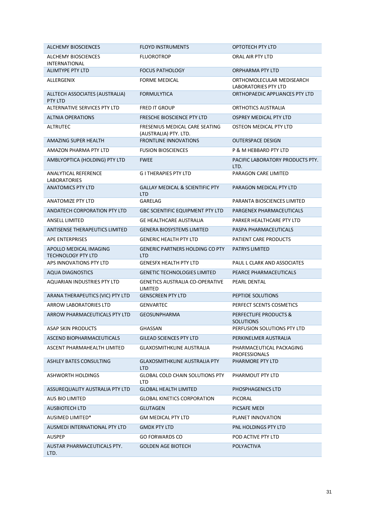| <b>ALCHEMY BIOSCIENCES</b>                          | <b>FLOYD INSTRUMENTS</b>                                 | OPTOTECH PTY LTD                                         |
|-----------------------------------------------------|----------------------------------------------------------|----------------------------------------------------------|
| <b>ALCHEMY BIOSCIENCES</b><br><b>INTERNATIONAL</b>  | <b>FLUOROTROP</b>                                        | ORAL AIR PTY LTD                                         |
| <b>ALIMTYPE PTY LTD</b>                             | <b>FOCUS PATHOLOGY</b>                                   | ORPHARMA PTY LTD                                         |
| <b>ALLERGENIX</b>                                   | <b>FORME MEDICAL</b>                                     | ORTHOMOLECULAR MEDISEARCH<br><b>LABORATORIES PTY LTD</b> |
| ALLTECH ASSOCIATES (AUSTRALIA)<br>PTY LTD           | <b>FORMULYTICA</b>                                       | ORTHOPAEDIC APPLIANCES PTY LTD                           |
| ALTERNATIVE SERVICES PTY LTD                        | <b>FRED IT GROUP</b>                                     | ORTHOTICS AUSTRALIA                                      |
| <b>ALTNIA OPERATIONS</b>                            | FRESCHE BIOSCIENCE PTY LTD                               | OSPREY MEDICAL PTY LTD                                   |
| <b>ALTRUTEC</b>                                     | FRESENIUS MEDICAL CARE SEATING<br>(AUSTRALIA) PTY. LTD.  | OSTEON MEDICAL PTY LTD                                   |
| AMAZING SUPER HEALTH                                | <b>FRONTLINE INNOVATIONS</b>                             | <b>OUTERSPACE DESIGN</b>                                 |
| AMAZON PHARMA PTY LTD                               | <b>FUSION BIOSCIENCES</b>                                | P & M HEBBARD PTY LTD                                    |
| AMBLYOPTICA (HOLDING) PTY LTD                       | <b>FWEE</b>                                              | PACIFIC LABORATORY PRODUCTS PTY.<br>LTD.                 |
| <b>ANALYTICAL REFERENCE</b><br><b>LABORATORIES</b>  | <b>GITHERAPIES PTY LTD</b>                               | PARAGON CARE LIMITED                                     |
| <b>ANATOMICS PTY LTD</b>                            | <b>GALLAY MEDICAL &amp; SCIENTIFIC PTY</b><br><b>LTD</b> | PARAGON MEDICAL PTY LTD                                  |
| <b>ANATOMIZE PTY LTD</b>                            | GARELAG                                                  | PARANTA BIOSCIENCES LIMITED                              |
| ANDATECH CORPORATION PTY LTD                        | <b>GBC SCIENTIFIC EQUIPMENT PTY LTD</b>                  | PARGENEX PHARMACEUTICALS                                 |
| ANSELL LIMITED                                      | <b>GE HEALTHCARE AUSTRALIA</b>                           | PARKER HEALTHCARE PTY LTD                                |
| <b>ANTISENSE THERAPEUTICS LIMITED</b>               | <b>GENERA BIOSYSTEMS LIMITED</b>                         | PASPA PHARMACEUTICALS                                    |
| APE ENTERPRISES                                     | <b>GENERIC HEALTH PTY LTD</b>                            | PATIENT CARE PRODUCTS                                    |
| APOLLO MEDICAL IMAGING<br><b>TECHNOLOGY PTY LTD</b> | <b>GENERIC PARTNERS HOLDING CO PTY</b><br><b>LTD</b>     | <b>PATRYS LIMITED</b>                                    |
| APS INNOVATIONS PTY LTD                             | <b>GENESFX HEALTH PTY LTD</b>                            | PAUL L CLARK AND ASSOCIATES                              |
| <b>AQUA DIAGNOSTICS</b>                             | <b>GENETIC TECHNOLOGIES LIMITED</b>                      | PEARCE PHARMACEUTICALS                                   |
| <b>AQUARIAN INDUSTRIES PTY LTD</b>                  | <b>GENETICS AUSTRALIA CO-OPERATIVE</b><br>LIMITED        | PEARL DENTAL                                             |
| ARANA THERAPEUTICS (VIC) PTY LTD                    | <b>GENSCREEN PTY LTD</b>                                 | PEPTIDE SOLUTIONS                                        |
| ARROW LABORATORIES LTD                              | <b>GENVARTEC</b>                                         | PERFECT SCENTS COSMETICS                                 |
| ARROW PHARMACEUTICALS PTY LTD                       | <b>GEOSUNPHARMA</b>                                      | PERFECTLIFE PRODUCTS &<br>SOLUTIONS                      |
| <b>ASAP SKIN PRODUCTS</b>                           | <b>GHASSAN</b>                                           | PERFUSION SOLUTIONS PTY LTD                              |
| ASCEND BIOPHARMACEUTICALS                           | <b>GILEAD SCIENCES PTY LTD</b>                           | PERKINELMER AUSTRALIA                                    |
| ASCENT PHARMAHEALTH LIMITED                         | GLAXOSMITHKLINE AUSTRALIA                                | PHARMACEUTICAL PACKAGING<br><b>PROFESSIONALS</b>         |
| <b>ASHLEY BATES CONSULTING</b>                      | <b>GLAXOSMITHKLINE AUSTRALIA PTY</b><br><b>LTD</b>       | PHARMORE PTY LTD                                         |
| ASHWORTH HOLDINGS                                   | <b>GLOBAL COLD CHAIN SOLUTIONS PTY</b><br>LTD.           | PHARMOUT PTY LTD                                         |
| ASSUREQUALITY AUSTRALIA PTY LTD                     | <b>GLOBAL HEALTH LIMITED</b>                             | PHOSPHAGENICS LTD                                        |
| AUS BIO LIMITED                                     | <b>GLOBAL KINETICS CORPORATION</b>                       | PICORAL                                                  |
| <b>AUSBIOTECH LTD</b>                               | <b>GLUTAGEN</b>                                          | PICSAFE MEDI                                             |
| AUSIMED LIMITED*                                    | <b>GM MEDICAL PTY LTD</b>                                | PLANET INNOVATION                                        |
| AUSMEDI INTERNATIONAL PTY LTD                       | <b>GMDX PTY LTD</b>                                      | PNL HOLDINGS PTY LTD                                     |
| AUSPEP                                              | GO FORWARDS CO                                           | POD ACTIVE PTY LTD                                       |
| AUSTAR PHARMACEUTICALS PTY.<br>LTD.                 | <b>GOLDEN AGE BIOTECH</b>                                | POLYACTIVA                                               |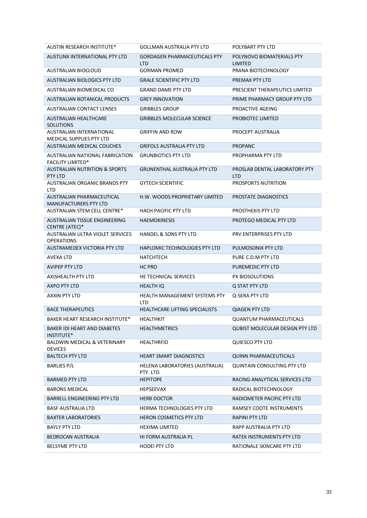| <b>AUSTIN RESEARCH INSTITUTE*</b>                                  | <b>GOLLMAN AUSTRALIA PTY LTD</b>                   | POLYBART PTY LTD                            |
|--------------------------------------------------------------------|----------------------------------------------------|---------------------------------------------|
| AUSTLINX INTERNATIONAL PTY LTD                                     | <b>GORDAGEN PHARMACEUTICALS PTY</b><br><b>LTD</b>  | POLYNOVO BIOMATERIALS PTY<br>LIMITED        |
| AUSTRALIAN BIOCLOUD                                                | <b>GORMAN PROMED</b>                               | PRANA BIOTECHNOLOGY                         |
| <b>AUSTRALIAN BIOLOGICS PTY LTD</b>                                | <b>GRALE SCIENTIFIC PTY LTD</b>                    | PREMAX PTY LTD                              |
| AUSTRALIAN BIOMEDICAL CO                                           | <b>GRAND DAME PTY LTD</b>                          | PRESCIENT THERAPEUTICS LIMITED              |
| AUSTRALIAN BOTANICAL PRODUCTS                                      | <b>GREY INNOVATION</b>                             | PRIME PHARMACY GROUP PTY LTD                |
| <b>AUSTRALIAN CONTACT LENSES</b>                                   | <b>GRIBBLES GROUP</b>                              | PROACTIVE AGEING                            |
| <b>AUSTRALIAN HEALTHCARE</b><br><b>SOLUTIONS</b>                   | <b>GRIBBLES MOLECULAR SCIENCE</b>                  | PROBIOTEC LIMITED                           |
| <b>AUSTRALIAN INTERNATIONAL</b><br><b>MEDICAL SUPPLIES PTY LTD</b> | <b>GRIFFIN AND ROW</b>                             | PROCEPT AUSTRALIA                           |
| AUSTRALIAN MEDICAL COUCHES                                         | <b>GRIFOLS AUSTRALIA PTY LTD</b>                   | PROPANC                                     |
| AUSTRALIAN NATIONAL FABRICATION<br><b>FACILITY LIMITED*</b>        | <b>GRUNBIOTICS PTY LTD</b>                         | PROPHARMA PTY LTD                           |
| <b>AUSTRALIAN NUTRITION &amp; SPORTS</b><br>PTY LTD                | <b>GRUNENTHAL AUSTRALIA PTY LTD</b>                | PROSLAB DENTAL LABORATORY PTY<br><b>LTD</b> |
| AUSTRALIAN ORGANIC BRANDS PTY<br><b>LTD</b>                        | <b>GYTECH SCIENTIFIC</b>                           | PROSPORTS NUTRITION                         |
| <b>AUSTRALIAN PHARMACEUTICAL</b><br><b>MANUFACTURERS PTY LTD</b>   | H.W. WOODS PROPRIETARY LIMITED                     | PROSTATE DIAGNOSTICS                        |
| <b>AUSTRALIAN STEM CELL CENTRE*</b>                                | <b>HACH PACIFIC PTY LTD</b>                        | PROSTHEXIS PTY LTD                          |
| AUSTRALIAN TISSUE ENGINEERING<br>CENTRE (ATEC)*                    | <b>HAEMOKINESIS</b>                                | PROTEGO MEDICAL PTY LTD                     |
| AUSTRALIAN ULTRA VIOLET SERVICES<br><b>OPERATIONS</b>              | <b>HANDEL &amp; SONS PTY LTD</b>                   | PRV ENTERPRISES PTY LTD                     |
| AUSTRAMEDEX VICTORIA PTY LTD                                       | <b>HAPLOMIC TECHNOLOGIES PTY LTD</b>               | PULMOSONIX PTY LTD                          |
| AVEXA LTD                                                          | <b>HATCHTECH</b>                                   | PURE C.D.M PTY LTD                          |
| <b>AVIPEP PTY LTD</b>                                              | HC PRO                                             | PUREMEDIC PTY LTD                           |
| AXISHEALTH PTY LTD                                                 | HE TECHNICAL SERVICES                              | PX BIOSOLUTIONS                             |
| AXPO PTY LTD                                                       | <b>HEALTH IQ</b>                                   | Q STAT PTY LTD                              |
| AXXIN PTY LTD                                                      | <b>HEALTH MANAGEMENT SYSTEMS PTY</b><br><b>LTD</b> | <b>Q-SERA PTY LTD</b>                       |
| <b>BACE THERAPEUTICS</b>                                           | <b>HEALTHCARE LIFTING SPECIALISTS</b>              | <b>QIAGEN PTY LTD</b>                       |
| BAKER HEART RESEARCH INSTITUTE*                                    | HEALTHKIT                                          | <b>QUANTUM PHARMACEUTICALS</b>              |
| BAKER IDI HEART AND DIABETES<br>INSTITUTE*                         | <b>HEALTHMETRICS</b>                               | <b>QUBIST MOLECULAR DESIGN PTY LTD</b>      |
| <b>BALDWIN MEDICAL &amp; VETERINARY</b><br><b>DEVICES</b>          | <b>HEALTHRFID</b>                                  | <b>QUIESCO PTY LTD</b>                      |
| <b>BALTECH PTY LTD</b>                                             | <b>HEART SMART DIAGNOSTICS</b>                     | <b>QUINN PHARMACEUTICALS</b>                |
| <b>BARLIES P/L</b>                                                 | HELENA LABORATORIES (AUSTRALIA)<br>PTY. LTD.       | <b>QUINTAIN CONSULTING PTY LTD</b>          |
| <b>BARMED PTY LTD</b>                                              | <b>HEPITOPE</b>                                    | RACING ANALYTICAL SERVICES LTD              |
| <b>BARONS MEDICAL</b>                                              |                                                    |                                             |
|                                                                    | <b>HEPSEEVAX</b>                                   | RADICAL BIOTECHNOLOGY                       |
| BARRELL ENGINEERING PTY LTD                                        | <b>HERB DOCTOR</b>                                 | RADIOMETER PACIFIC PTY LTD                  |
| <b>BASF AUSTRALIA LTD</b>                                          | <b>HERMA TECHNOLOGIES PTY LTD</b>                  | RAMSEY COOTE INSTRUMENTS                    |
| <b>BAXTER LABORATORIES</b>                                         | HERON COSMETICS PTY LTD                            | <b>RAPINI PTY LTD</b>                       |
| <b>BAYLY PTY LTD</b>                                               | <b>HEXIMA LIMITED</b>                              | RAPP AUSTRALIA PTY LTD                      |
| BEDROCAN AUSTRALIA                                                 | HI FORM AUSTRALIA PL                               | RATEK INSTRUMENTS PTY LTD                   |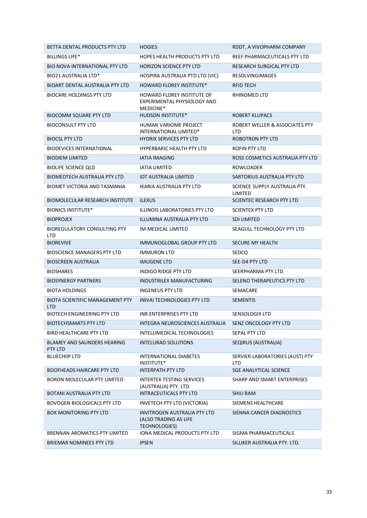| BETTA DENTAL PRODUCTS PTY LTD                        | <b>HOGIES</b>                                                                 | RDDT, A VIVOPHARM COMPANY                     |
|------------------------------------------------------|-------------------------------------------------------------------------------|-----------------------------------------------|
| <b>BILLINGS LIFE*</b>                                | HOPES HEALTH PRODUCTS PTY LTD                                                 | REEF PHARMACEUTICALS PTY LTD                  |
| <b>BIO NOVA INTERNATIONAL PTY LTD</b>                | <b>HORIZON SCIENCE PTY LTD</b>                                                | RESEARCH SURGICAL PTY LTD                     |
| BIO21 AUSTRALIA LTD*                                 | HOSPIRA AUSTRALIA PTD LTD (VIC)                                               | RESOLVINGIMAGES                               |
| <b>BIOART DENTAL AUSTRALIA PTY LTD</b>               | <b>HOWARD FLOREY INSTITUTE*</b>                                               | <b>RFID TECH</b>                              |
| BIOCARE HOLDINGS PTY LTD                             | HOWARD FLOREY INSTITUTE OF<br>EXPERIMENTAL PHYSIOLOGY AND<br>MEDICINE*        | RHINOMED LTD                                  |
| <b>BIOCOMM SQUARE PTY LTD</b>                        | <b>HUDSON INSTITUTE*</b>                                                      | <b>ROBERT KLUPACS</b>                         |
| <b>BIOCONSULT PTY LTD</b>                            | HUMAN VARIOME PROJECT<br>INTERNATIONAL LIMITED*                               | ROBERT WELLER & ASSOCIATES PTY<br><b>LTD</b>  |
| <b>BIOCSL PTY LTD</b>                                | <b>HYDRIX SERVICES PTY LTD</b>                                                | ROBOTRON PTY LTD                              |
| <b>BIODEVICES INTERNATIONAL</b>                      | <b>HYPERBARIC HEALTH PTY LTD</b>                                              | ROFIN PTY LTD                                 |
| <b>BIODIEM LIMITED</b>                               | <b>IATIA IMAGING</b>                                                          | ROSS COSMETICS AUSTRALIA PTY LTD              |
| <b>BIOLIFE SCIENCE QLD</b>                           | <b>IATIA LIMITED</b>                                                          | <b>ROWLOADER</b>                              |
| <b>BIOMEDTECH AUSTRALIA PTY LTD</b>                  | <b>IDT AUSTRALIA LIMITED</b>                                                  | SARTORIUS AUSTRALIA PTY LTD                   |
| <b>BIOMET VICTORIA AND TASMANIA</b>                  | IKARIA AUSTRALIA PTY LTD                                                      | SCIENCE SUPPLY AUSTRALIA PTY.<br>LIMITED      |
| <b>BIOMOLECULAR RESEARCH INSTITUTE</b>               | <b>ILEXUS</b>                                                                 | SCIENTEC RESEARCH PTY LTD                     |
| <b>BIONICS INSTITUTE*</b>                            | <b>ILLINOIS LABORATORIES PTY LTD</b>                                          | <b>SCIENTEX PTY LTD</b>                       |
| <b>BIOPROJEX</b>                                     | <b>ILLUMINA AUSTRALIA PTY LTD</b>                                             | <b>SDI LIMITED</b>                            |
| <b>BIOREGULATORY CONSULTING PTY</b><br><b>LTD</b>    | IM MEDICAL LIMITED                                                            | SEAGULL TECHNOLOGY PTY LTD                    |
| <b>BIOREVIVE</b>                                     | <b>IMMUNOGLOBAL GROUP PTY LTD</b>                                             | SECURE MY HEALTH                              |
| <b>BIOSCIENCE MANAGERS PTY LTD</b>                   | <b>IMMURON LTD</b>                                                            | <b>SEDCO</b>                                  |
| <b>BIOSCREEN AUSTRALIA</b>                           | <b>IMUGENE LTD</b>                                                            | SEE-D4 PTY LTD                                |
| <b>BIOSHARES</b>                                     | INDIGO RIDGE PTY LTD                                                          | SEERPHARMA PTY LTD                            |
| <b>BIOSYNERGY PARTNERS</b>                           | <b>INDUSTRILEX MANUFACTURING</b>                                              | SELENO THERAPEUTICS PTY LTD                   |
| <b>BIOTA HOLDINGS</b>                                | <b>INGENEUS PTY LTD</b>                                                       | SEMACARE                                      |
| <b>BIOTA SCIENTIFIC MANAGEMENT PTY</b><br><b>LTD</b> | <b>INIVAI TECHNOLOGIES PTY LTD</b>                                            | <b>SEMENTIS</b>                               |
| <b>BIOTECH ENGINEERING PTY LTD</b>                   | INR ENTERPRISES PTY LTD                                                       | SENSOLOGIX LTD                                |
| <b>BIOTECHSMARTS PTY LTD</b>                         | <b>INTEGRA NEUROSCIENCES AUSTRALIA</b>                                        | <b>SENZ ONCOLOGY PTY LTD</b>                  |
| <b>BIRD HEALTHCARE PTY LTD</b>                       | INTELLIMEDICAL TECHNOLOGIES                                                   | SEPAL PTY LTD                                 |
| <b>BLAMEY AND SAUNDERS HEARING</b><br>PTY LTD        | <b>INTELLIRAD SOLUTIONS</b>                                                   | SEQIRUS (AUSTRALIA)                           |
| <b>BLUECHIIP LTD</b>                                 | <b>INTERNATIONAL DIABETES</b><br>INSTITUTE*                                   | SERVIER LABORATORIES (AUST) PTY<br><b>LTD</b> |
| <b>BOOFHEADS HAIRCARE PTY LTD</b>                    | <b>INTERPATH PTY LTD</b>                                                      | <b>SGE ANALYTICAL SCIENCE</b>                 |
| <b>BORON MOLECULAR PTY LIMITED</b>                   | <b>INTERTEK TESTING SERVICES</b><br>(AUSTRALIA) PTY. LTD.                     | SHARP AND SMART ENTERPRISES                   |
| <b>BOTANI AUSTRALIA PTY LTD</b>                      | <b>INTRACEUTICALS PTY LTD</b>                                                 | <b>SHIU RAM</b>                               |
| <b>BOVOGEN BIOLOGICALS PTY LTD</b>                   | INVETECH PTY LTD (VICTORIA)                                                   | SIEMENS HEALTHCARE                            |
| <b>BOX MONITORING PTY LTD</b>                        | <b>INVITROGEN AUSTRALIA PTY LTD</b><br>(ALSO TRADING AS LIFE<br>TECHNOLOGIES) | SIENNA CANCER DIAGNOSTICS                     |
| BRENNAN AROMATICS PTY LIMITED                        | IONA MEDICAL PRODUCTS PTY LTD                                                 | SIGMA PHARMACEUTICALS                         |
| <b>BRIEMAR NOMINEES PTY LTD</b>                      | <b>IPSEN</b>                                                                  | SILLIKER AUSTRALIA PTY. LTD.                  |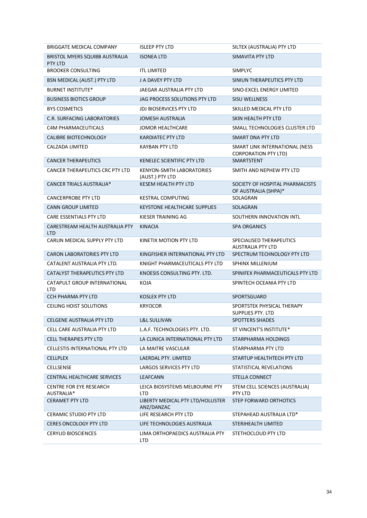| BRIGGATE MEDICAL COMPANY                         | <b>ISLEEP PTY LTD</b>                               | SILTEX (AUSTRALIA) PTY LTD                                    |
|--------------------------------------------------|-----------------------------------------------------|---------------------------------------------------------------|
| BRISTOL MYERS SQUIBB AUSTRALIA<br><b>PTY LTD</b> | <b>ISONEA LTD</b>                                   | SIMAVITA PTY LTD                                              |
| <b>BROOKER CONSULTING</b>                        | <b>ITL LIMITED</b>                                  | <b>SIMPLYC</b>                                                |
| <b>BSN MEDICAL (AUST.) PTY LTD</b>               | J A DAVEY PTY LTD                                   | SINIUN THERAPEUTICS PTY LTD                                   |
| <b>BURNET INSTITUTE*</b>                         | JAEGAR AUSTRALIA PTY LTD                            | SINO-EXCEL ENERGY LIMITED                                     |
| <b>BUSINESS BIOTICS GROUP</b>                    | JAG PROCESS SOLUTIONS PTY LTD                       | <b>SISU WELLNESS</b>                                          |
| <b>BYS COSMETICS</b>                             | <b>JDJ BIOSERVICES PTY LTD</b>                      | SKILLED MEDICAL PTY LTD                                       |
| C.R. SURFACING LABORATORIES                      | <b>JOMESH AUSTRALIA</b>                             | SKIN HEALTH PTY LTD                                           |
| C4M PHARMACEUTICALS                              | JOMOR HEALTHCARE                                    | SMALL TECHNOLOGIES CLUSTER LTD                                |
| <b>CALIBRE BIOTECHNOLOGY</b>                     | <b>KARDIATEC PTY LTD</b>                            | SMART DNA PTY LTD                                             |
| CALZADA LIMITED                                  | <b>KAYBAN PTY LTD</b>                               | SMART LINK INTERNATIONAL (NESS<br><b>CORPORATION PTY LTD)</b> |
| <b>CANCER THERAPEUTICS</b>                       | <b>KENELEC SCIENTIFIC PTY LTD</b>                   | SMARTSTENT                                                    |
| <b>CANCER THERAPEUTICS CRC PTY LTD</b>           | <b>KENYON-SMITH LABORATORIES</b><br>(AUST.) PTY LTD | SMITH AND NEPHEW PTY LTD                                      |
| <b>CANCER TRIALS AUSTRALIA*</b>                  | KESEM HEALTH PTY LTD                                | SOCIETY OF HOSPITAL PHARMACISTS<br>OF AUSTRALIA (SHPA)*       |
| <b>CANCERPROBE PTY LTD</b>                       | <b>KESTRAL COMPUTING</b>                            | SOLAGRAN                                                      |
| <b>CANN GROUP LIMITED</b>                        | <b>KEYSTONE HEALTHCARE SUPPLIES</b>                 | SOLAGRAN                                                      |
| CARE ESSENTIALS PTY LTD                          | KIESER TRAINING AG                                  | SOUTHERN INNOVATION INTL                                      |
| CARESTREAM HEALTH AUSTRALIA PTY<br><b>LTD</b>    | <b>KINACIA</b>                                      | <b>SPA ORGANICS</b>                                           |
| CARLIN MEDICAL SUPPLY PTY LTD                    | KINETIX MOTION PTY LTD                              | SPECIALISED THERAPEUTICS<br><b>AUSTRALIA PTY LTD</b>          |
| <b>CARON LABORATORIES PTY LTD</b>                | KINGFISHER INTERNATIONAL PTY LTD                    | SPECTRUM TECHNOLOGY PTY LTD                                   |
| CATALENT AUSTRALIA PTY LTD.                      | KNIGHT PHARMACEUTICALS PTY LTD                      | SPHINX MILLENIUM                                              |
| CATALYST THERAPEUTICS PTY LTD                    | KNOESIS CONSULTING PTY. LTD.                        | SPINIFEX PHARMACEUTICALS PTY LTD                              |
| CATAPULT GROUP INTERNATIONAL<br><b>LTD</b>       | KOJA                                                | SPINTECH OCEANIA PTY LTD                                      |
| <b>CCH PHARMA PTY LTD</b>                        | KOSLEX PTY LTD                                      | <b>SPORTSGUARD</b>                                            |
| <b>CEILING HOIST SOLUTIONS</b>                   | <b>KRYOCOR</b>                                      | SPORTSTEK PHYSICAL THERAPY<br>SUPPLIES PTY. LTD               |
| CELGENE AUSTRALIA PTY LTD                        | <b>L&amp;L SULLIVAN</b>                             | <b>SPOTTERS SHADES</b>                                        |
| CELL CARE AUSTRALIA PTY LTD                      | L.A.F. TECHNOLOGIES PTY. LTD.                       | ST VINCENT'S INSTITUTE*                                       |
| <b>CELL THERAPIES PTY LTD</b>                    | LA CLINICA INTERNATIONAL PTY LTD                    | STARPHARMA HOLDINGS                                           |
| CELLESTIS INTERNATIONAL PTY LTD                  | LA MAITRE VASCULAR                                  | STARPHARMA PTY LTD                                            |
| <b>CELLPLEX</b>                                  | LAERDAL PTY. LIMITED                                | STARTUP HEALTHTECH PTY LTD                                    |
| CELLSENSE                                        | LARGOS SERVICES PTY LTD                             | STATISTICAL REVELATIONS                                       |
| CENTRAL HEALTHCARE SERVICES                      | LEAFCANN                                            | STELLA CONNECT                                                |
| CENTRE FOR EYE RESEARCH<br>AUSTRALIA*            | LEICA BIOSYSTEMS MELBOURNE PTY<br><b>LTD</b>        | STEM CELL SCIENCES (AUSTRALIA)<br>PTY LTD                     |
| <b>CERAMET PTY LTD</b>                           | LIBERTY MEDICAL PTY LTD/HOLLISTER<br>ANZ/DANZAC     | STEP FORWARD ORTHOTICS                                        |
| <b>CERAMIC STUDIO PTY LTD</b>                    | LIFE RESEARCH PTY LTD                               | STEPAHEAD AUSTRALIA LTD*                                      |
| <b>CERES ONCOLOGY PTY LTD</b>                    | LIFE TECHNOLOGIES AUSTRALIA                         | STERIHEALTH LIMITED                                           |
| CERYLID BIOSCIENCES                              | LIMA ORTHOPAEDICS AUSTRALIA PTY<br><b>LTD</b>       | STETHOCLOUD PTY LTD                                           |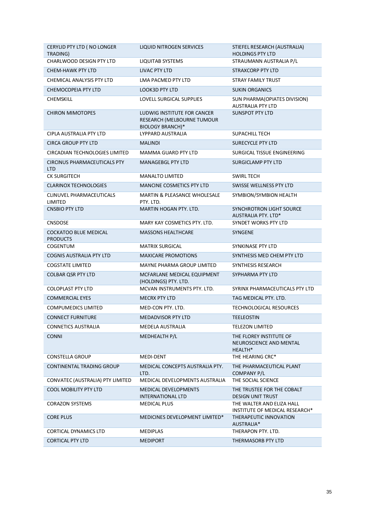| CERYLID PTY LTD ( NO LONGER<br>TRADING)           | <b>LIQUID NITROGEN SERVICES</b>                                                      | STIEFEL RESEARCH (AUSTRALIA)<br><b>HOLDINGS PTY LTD</b>       |
|---------------------------------------------------|--------------------------------------------------------------------------------------|---------------------------------------------------------------|
| CHARLWOOD DESIGN PTY LTD                          | <b>LIQUITAB SYSTEMS</b>                                                              | STRAUMANN AUSTRALIA P/L                                       |
| <b>CHEM-HAWK PTY LTD</b>                          | <b>LIVAC PTY LTD</b>                                                                 | <b>STRAXCORP PTY LTD</b>                                      |
| <b>CHEMICAL ANALYSIS PTY LTD</b>                  | LMA PACMED PTY LTD                                                                   | STRAY FAMILY TRUST                                            |
| CHEMOCOPEIA PTY LTD                               | LOOK3D PTY LTD                                                                       | <b>SUKIN ORGANICS</b>                                         |
| <b>CHEMSKILL</b>                                  | LOVELL SURGICAL SUPPLIES                                                             | SUN PHARMA(OPIATES DIVISION)<br><b>AUSTRALIA PTY LTD</b>      |
| <b>CHIRON MIMOTOPES</b>                           | LUDWIG INSTITUTE FOR CANCER<br>RESEARCH (MELBOURNE TUMOUR<br><b>BIOLOGY BRANCH)*</b> | <b>SUNSPOT PTY LTD</b>                                        |
| CIPLA AUSTRALIA PTY LTD                           | LYPPARD AUSTRALIA                                                                    | SUPACHILL TECH                                                |
| <b>CIRCA GROUP PTY LTD</b>                        | <b>MALINDI</b>                                                                       | <b>SURECYCLE PTY LTD</b>                                      |
| CIRCADIAN TECHNOLOGIES LIMITED                    | <b>MAMMA GUARD PTY LTD</b>                                                           | SURGICAL TISSUE ENGINEERING                                   |
| <b>CIRCINUS PHARMACEUTICALS PTY</b><br><b>LTD</b> | <b>MANAGEBGL PTY LTD</b>                                                             | <b>SURGICLAMP PTY LTD</b>                                     |
| <b>CK SURGITECH</b>                               | <b>MANALTO LIMITED</b>                                                               | <b>SWIRL TECH</b>                                             |
| <b>CLARINOX TECHNOLOGIES</b>                      | <b>MANCINE COSMETICS PTY LTD</b>                                                     | <b>SWISSE WELLNESS PTY LTD</b>                                |
| <b>CLINUVEL PHARMACEUTICALS</b><br>LIMITED        | <b>MARTIN &amp; PLEASANCE WHOLESALE</b><br>PTY. LTD.                                 | SYMBION/SYMBION HEALTH                                        |
| <b>CNSBIO PTY LTD</b>                             | MARTIN HOGAN PTY. LTD.                                                               | SYNCHROTRON LIGHT SOURCE<br>AUSTRALIA PTY. LTD*               |
| <b>CNSDOSE</b>                                    | MARY KAY COSMETICS PTY. LTD.                                                         | SYNDET WORKS PTY LTD                                          |
| <b>COCKATOO BLUE MEDICAL</b><br><b>PRODUCTS</b>   | <b>MASSONS HEALTHCARE</b>                                                            | <b>SYNGENE</b>                                                |
| COGENTUM                                          | <b>MATRIX SURGICAL</b>                                                               | SYNKINASE PTY LTD                                             |
| <b>COGNIS AUSTRALIA PTY LTD</b>                   | <b>MAXICARE PROMOTIONS</b>                                                           | SYNTHESIS MED CHEM PTY LTD                                    |
| <b>COGSTATE LIMITED</b>                           | MAYNE PHARMA GROUP LIMITED                                                           | SYNTHESIS RESEARCH                                            |
| <b>COLBAR QSR PTY LTD</b>                         | MCFARLANE MEDICAL EQUIPMENT<br>(HOLDINGS) PTY. LTD.                                  | SYPHARMA PTY LTD                                              |
| <b>COLOPLAST PTY LTD</b>                          | MCVAN INSTRUMENTS PTY. LTD.                                                          | SYRINX PHARMACEUTICALS PTY LTD                                |
| <b>COMMERCIAL EYES</b>                            | <b>MECRX PTY LTD</b>                                                                 | TAG MEDICAL PTY. LTD.                                         |
| <b>COMPUMEDICS LIMITED</b>                        | MED-CON PTY. LTD.                                                                    | TECHNOLOGICAL RESOURCES                                       |
| <b>CONNECT FURNITURE</b>                          | <b>MEDADVISOR PTY LTD</b>                                                            | <b>TEELEOSTIN</b>                                             |
| CONNETICS AUSTRALIA                               | MEDELA AUSTRALIA                                                                     | <b>TELEZON LIMITED</b>                                        |
| <b>CONNI</b>                                      | MEDHEALTH P/L                                                                        | THE FLOREY INSTITUTE OF<br>NEUROSCIENCE AND MENTAL<br>HEALTH* |
| <b>CONSTELLA GROUP</b>                            | <b>MEDI-DENT</b>                                                                     | THE HEARING CRC*                                              |
| CONTINENTAL TRADING GROUP                         | MEDICAL CONCEPTS AUSTRALIA PTY.<br>LTD.                                              | THE PHARMACEUTICAL PLANT<br><b>COMPANY P/L</b>                |
| CONVATEC (AUSTRALIA) PTY LIMITED                  | MEDICAL DEVELOPMENTS AUSTRALIA                                                       | THE SOCIAL SCIENCE                                            |
| COOL MOBILITY PTY LTD                             | <b>MEDICAL DEVELOPMENTS</b><br><b>INTERNATIONAL LTD</b>                              | THE TRUSTEE FOR THE COBALT<br><b>DESIGN UNIT TRUST</b>        |
| <b>CORAZON SYSTEMS</b>                            | <b>MEDICAL PLUS</b>                                                                  | THE WALTER AND ELIZA HALL<br>INSTITUTE OF MEDICAL RESEARCH*   |
| <b>CORE PLUS</b>                                  | MEDICINES DEVELOPMENT LIMITED*                                                       | THERAPEUTIC INNOVATION<br>AUSTRALIA*                          |
| CORTICAL DYNAMICS LTD                             | <b>MEDIPLAS</b>                                                                      | THERAPON PTY. LTD.                                            |
| <b>CORTICAL PTY LTD</b>                           | <b>MEDIPORT</b>                                                                      | THERMASORB PTY LTD                                            |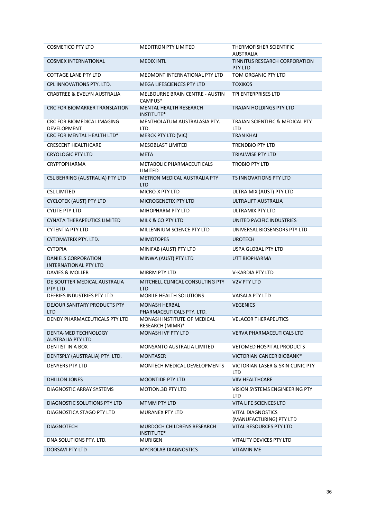| <b>COSMETICO PTY LTD</b>                            | <b>MEDITRON PTY LIMITED</b>                       | THERMOFISHER SCIENTIFIC<br><b>AUSTRALIA</b>         |
|-----------------------------------------------------|---------------------------------------------------|-----------------------------------------------------|
| <b>COSMEX INTERNATIONAL</b>                         | <b>MEDIX INTL</b>                                 | TINNITUS RESEARCH CORPORATION<br>PTY LTD            |
| COTTAGE LANE PTY LTD                                | <b>MEDMONT INTERNATIONAL PTY LTD</b>              | TOM ORGANIC PTY LTD                                 |
| CPL INNOVATIONS PTY. LTD.                           | <b>MEGA LIFESCIENCES PTY LTD</b>                  | <b>TOXIKOS</b>                                      |
| <b>CRABTREE &amp; EVELYN AUSTRALIA</b>              | MELBOURNE BRAIN CENTRE - AUSTIN<br>CAMPUS*        | TPI ENTERPRISES LTD                                 |
| <b>CRC FOR BIOMARKER TRANSLATION</b>                | MENTAL HEALTH RESEARCH<br>INSTITUTE*              | TRAJAN HOLDINGS PTY LTD                             |
| CRC FOR BIOMEDICAL IMAGING<br>DEVELOPMENT           | MENTHOLATUM AUSTRALASIA PTY.<br>LTD.              | TRAJAN SCIENTIFIC & MEDICAL PTY<br><b>LTD</b>       |
| CRC FOR MENTAL HEALTH LTD*                          | MERCK PTY LTD (VIC)                               | TRAN KHAI                                           |
| <b>CRESCENT HEALTHCARE</b>                          | <b>MESOBLAST LIMITED</b>                          | TRENDBIO PTY LTD                                    |
| <b>CRYOLOGIC PTY LTD</b>                            | <b>META</b>                                       | TRIALWISE PTY LTD                                   |
| <b>CRYPTOPHARMA</b>                                 | METABOLIC PHARMACEUTICALS<br><b>LIMITED</b>       | <b>TROBIO PTY LTD</b>                               |
| <b>CSL BEHRING (AUSTRALIA) PTY LTD</b>              | METRON MEDICAL AUSTRALIA PTY<br><b>LTD</b>        | TS INNOVATIONS PTY LTD                              |
| <b>CSL LIMITED</b>                                  | <b>MICRO-X PTY LTD</b>                            | ULTRA MIX (AUST) PTY LTD                            |
| <b>CYCLOTEK (AUST) PTY LTD</b>                      | MICROGENETIX PTY LTD                              | ULTRALIFT AUSTRALIA                                 |
| <b>CYLITE PTY LTD</b>                               | MIHOPHARM PTY LTD                                 | ULTRAMIX PTY LTD                                    |
| <b>CYNATA THERAPEUTICS LIMITED</b>                  | MILK & CO PTY LTD                                 | UNITED PACIFIC INDUSTRIES                           |
| <b>CYTENTIA PTY LTD</b>                             | MILLENNIUM SCIENCE PTY LTD                        | UNIVERSAL BIOSENSORS PTY LTD                        |
| CYTOMATRIX PTY. LTD.                                | <b>MIMOTOPES</b>                                  | <b>UROTECH</b>                                      |
| <b>CYTOPIA</b>                                      | MINIFAB (AUST) PTY LTD                            | USPA GLOBAL PTY LTD                                 |
| DANIELS CORPORATION<br><b>INTERNATIONAL PTY LTD</b> | MINWA (AUST) PTY LTD                              | UTT BIOPHARMA                                       |
| DAVIES & MOLLER                                     | <b>MIRRM PTY LTD</b>                              | V-KARDIA PTY LTD                                    |
| DE SOUTTER MEDICAL AUSTRALIA<br>PTY LTD             | MITCHELL CLINICAL CONSULTING PTY<br><b>LTD</b>    | V2V PTY LTD                                         |
| DEFRIES INDUSTRIES PTY LTD                          | MOBILE HEALTH SOLUTIONS                           | <b>VAISALA PTY LTD</b>                              |
| DEJOUR SANITARY PRODUCTS PTY<br><b>LTD</b>          | <b>MONASH HERBAL</b><br>PHARMACEUTICALS PTY. LTD. | <b>VEGENICS</b>                                     |
| DENDY PHARMACEUTICALS PTY LTD                       | MONASH INSTITUTE OF MEDICAL<br>RESEARCH (MIMR)*   | <b>VELACOR THERAPEUTICS</b>                         |
| DENTA-MED TECHNOLOGY<br><b>AUSTRALIA PTY LTD</b>    | MONASH IVF PTY LTD                                | <b>VERVA PHARMACEUTICALS LTD</b>                    |
| DENTIST IN A BOX                                    | MONSANTO AUSTRALIA LIMITED                        | <b>VETOMED HOSPITAL PRODUCTS</b>                    |
| DENTSPLY (AUSTRALIA) PTY. LTD.                      | <b>MONTASER</b>                                   | VICTORIAN CANCER BIOBANK*                           |
| <b>DENYERS PTY LTD</b>                              | MONTECH MEDICAL DEVELOPMENTS                      | VICTORIAN LASER & SKIN CLINIC PTY<br>LTD            |
| <b>DHILLON JONES</b>                                | <b>MOONTIDE PTY LTD</b>                           | <b>VIIV HEALTHCARE</b>                              |
| DIAGNOSTIC ARRAY SYSTEMS                            | MOTION.3D PTY LTD                                 | <b>VISION SYSTEMS ENGINEERING PTY</b><br><b>LTD</b> |
| DIAGNOSTIC SOLUTIONS PTY LTD                        | <b>MTMM PTY LTD</b>                               | VITA LIFE SCIENCES LTD                              |
| DIAGNOSTICA STAGO PTY LTD                           | <b>MURANEX PTY LTD</b>                            | <b>VITAL DIAGNOSTICS</b><br>(MANUFACTURING) PTY LTD |
| <b>DIAGNOTECH</b>                                   | MURDOCH CHILDRENS RESEARCH<br>INSTITUTE*          | <b>VITAL RESOURCES PTY LTD</b>                      |
| DNA SOLUTIONS PTY. LTD.                             | <b>MURIGEN</b>                                    | VITALITY DEVICES PTY LTD                            |
| <b>DORSAVI PTY LTD</b>                              | MYCROLAB DIAGNOSTICS                              | <b>VITAMIN ME</b>                                   |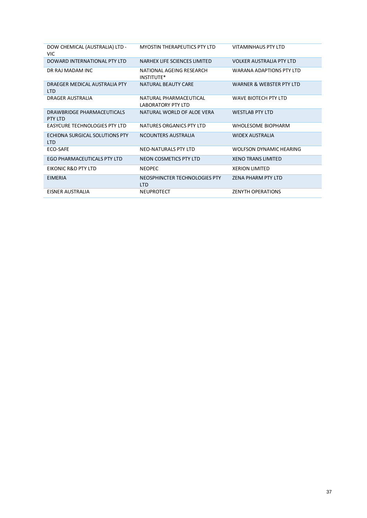| DOW CHEMICAL (AUSTRALIA) LTD -<br><b>VIC</b> | <b>MYOSTIN THERAPEUTICS PTY LTD</b>                 | <b>VITAMINHAUS PTY LTD</b>          |
|----------------------------------------------|-----------------------------------------------------|-------------------------------------|
| DOWARD INTERNATIONAL PTY LTD                 | NARHEX LIFE SCIENCES LIMITED                        | <b>VOLKER AUSTRALIA PTY LTD</b>     |
| DR RAJ MADAM INC                             | NATIONAL AGEING RESEARCH<br>INSTITUTE*              | WARANA ADAPTIONS PTY LTD            |
| DRAEGER MEDICAL AUSTRALIA PTY<br><b>LTD</b>  | NATURAL BEAUTY CARE                                 | <b>WARNER &amp; WEBSTER PTY LTD</b> |
| DRAGER AUSTRALIA                             | NATURAL PHARMACEUTICAL<br><b>LABORATORY PTY LTD</b> | WAVE BIOTECH PTY LTD                |
| DRAWBRIDGE PHARMACEUTICALS<br><b>PTY ITD</b> | NATURAL WORLD OF ALOE VERA                          | <b>WESTLAB PTY LTD</b>              |
| <b>EASYCURE TECHNOLOGIES PTY LTD</b>         | NATURES ORGANICS PTY LTD                            | WHOI ESOME BIOPHARM                 |
| ECHIDNA SURGICAL SOLUTIONS PTY<br><b>LTD</b> | NCOUNTERS AUSTRALIA                                 | <b>WIDEX AUSTRALIA</b>              |
| ECO-SAFE                                     | NEO-NATURALS PTY LTD                                | WOLFSON DYNAMIC HEARING             |
| EGO PHARMACEUTICALS PTY LTD                  | NEON COSMETICS PTY LTD                              | <b>XENO TRANS LIMITED</b>           |
| EIKONIC R&D PTY LTD                          | <b>NEOPEC</b>                                       | <b>XERION LIMITED</b>               |
| <b>EIMERIA</b>                               | NEOSPHINCTER TECHNOLOGIES PTY<br><b>LTD</b>         | <b>ZENA PHARM PTY LTD</b>           |
| EISNER AUSTRALIA                             | <b>NEUPROTECT</b>                                   | <b>ZENYTH OPERATIONS</b>            |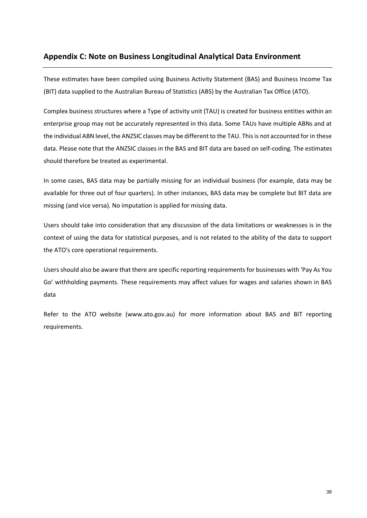#### <span id="page-45-0"></span>**Appendix C: Note on Business Longitudinal Analytical Data Environment**

These estimates have been compiled using Business Activity Statement (BAS) and Business Income Tax (BIT) data supplied to the Australian Bureau of Statistics (ABS) by the Australian Tax Office (ATO).

Complex business structures where a Type of activity unit (TAU) is created for business entities within an enterprise group may not be accurately represented in this data. Some TAUs have multiple ABNs and at the individual ABN level, the ANZSIC classes may be different to the TAU. This is not accounted for in these data. Please note that the ANZSIC classes in the BAS and BIT data are based on self-coding. The estimates should therefore be treated as experimental.

In some cases, BAS data may be partially missing for an individual business (for example, data may be available for three out of four quarters). In other instances, BAS data may be complete but BIT data are missing (and vice versa). No imputation is applied for missing data.

Users should take into consideration that any discussion of the data limitations or weaknesses is in the context of using the data for statistical purposes, and is not related to the ability of the data to support the ATO's core operational requirements.

Users should also be aware that there are specific reporting requirements for businesses with 'Pay As You Go' withholding payments. These requirements may affect values for wages and salaries shown in BAS data

Refer to the ATO website (www.ato.gov.au) for more information about BAS and BIT reporting requirements.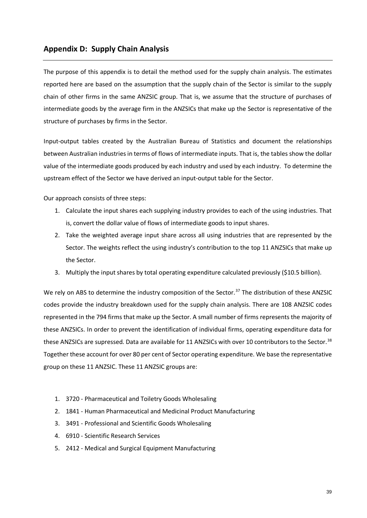#### <span id="page-46-0"></span>**Appendix D: Supply Chain Analysis**

The purpose of this appendix is to detail the method used for the supply chain analysis. The estimates reported here are based on the assumption that the supply chain of the Sector is similar to the supply chain of other firms in the same ANZSIC group. That is, we assume that the structure of purchases of intermediate goods by the average firm in the ANZSICs that make up the Sector is representative of the structure of purchases by firms in the Sector.

Input-output tables created by the Australian Bureau of Statistics and document the relationships between Australian industries in terms of flows of intermediate inputs. That is, the tables show the dollar value of the intermediate goods produced by each industry and used by each industry. To determine the upstream effect of the Sector we have derived an input-output table for the Sector.

Our approach consists of three steps:

- 1. Calculate the input shares each supplying industry provides to each of the using industries. That is, convert the dollar value of flows of intermediate goods to input shares.
- 2. Take the weighted average input share across all using industries that are represented by the Sector. The weights reflect the using industry's contribution to the top 11 ANZSICs that make up the Sector.
- 3. Multiply the input shares by total operating expenditure calculated previously (\$10.5 billion).

We rely on ABS to determine the industry composition of the Sector.<sup>[37](#page-52-12)</sup> The distribution of these ANZSIC codes provide the industry breakdown used for the supply chain analysis. There are 108 ANZSIC codes represented in the 794 firms that make up the Sector. A small number of firms represents the majority of these ANZSICs. In order to prevent the identification of individual firms, operating expenditure data for these ANZSICs are supressed. Data are available for 11 ANZSICs with over 10 contributors to the Sector.<sup>[38](#page-52-13)</sup> Together these account for over 80 per cent of Sector operating expenditure. We base the representative group on these 11 ANZSIC. These 11 ANZSIC groups are:

- 1. 3720 Pharmaceutical and Toiletry Goods Wholesaling
- 2. 1841 Human Pharmaceutical and Medicinal Product Manufacturing
- 3. 3491 Professional and Scientific Goods Wholesaling
- 4. 6910 Scientific Research Services
- 5. 2412 Medical and Surgical Equipment Manufacturing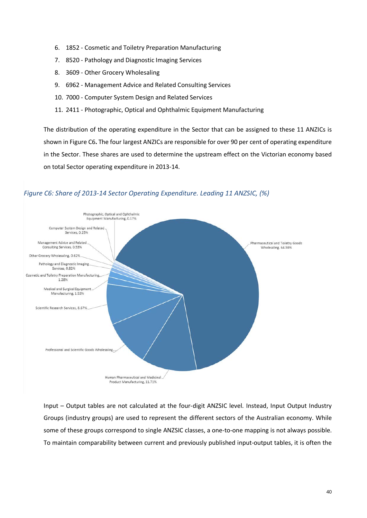- 6. 1852 Cosmetic and Toiletry Preparation Manufacturing
- 7. 8520 Pathology and Diagnostic Imaging Services
- 8. 3609 Other Grocery Wholesaling
- 9. 6962 Management Advice and Related Consulting Services
- 10. 7000 Computer System Design and Related Services
- 11. 2411 Photographic, Optical and Ophthalmic Equipment Manufacturing

The distribution of the operating expenditure in the Sector that can be assigned to these 11 ANZICs is shown in Figure C6**.** The four largest ANZICs are responsible for over 90 per cent of operating expenditure in the Sector. These shares are used to determine the upstream effect on the Victorian economy based on total Sector operating expenditure in 2013-14.



#### *Figure C6: Share of 2013-14 Sector Operating Expenditure. Leading 11 ANZSIC, (%)*

Input – Output tables are not calculated at the four-digit ANZSIC level. Instead, Input Output Industry Groups (industry groups) are used to represent the different sectors of the Australian economy. While some of these groups correspond to single ANZSIC classes, a one-to-one mapping is not always possible. To maintain comparability between current and previously published input-output tables, it is often the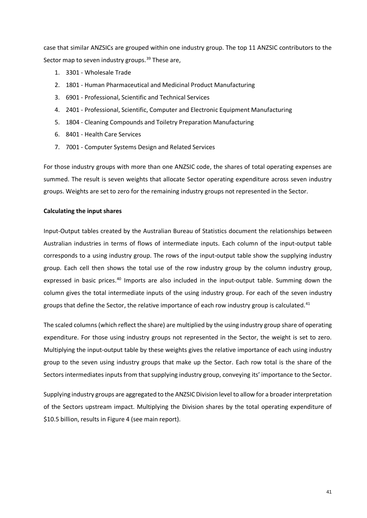case that similar ANZSICs are grouped within one industry group. The top 11 ANZSIC contributors to the Sector map to seven industry groups.<sup>[39](#page-52-14)</sup> These are,

- 1. 3301 Wholesale Trade
- 2. 1801 Human Pharmaceutical and Medicinal Product Manufacturing
- 3. 6901 Professional, Scientific and Technical Services
- 4. 2401 Professional, Scientific, Computer and Electronic Equipment Manufacturing
- 5. 1804 Cleaning Compounds and Toiletry Preparation Manufacturing
- 6. 8401 Health Care Services
- 7. 7001 Computer Systems Design and Related Services

For those industry groups with more than one ANZSIC code, the shares of total operating expenses are summed. The result is seven weights that allocate Sector operating expenditure across seven industry groups. Weights are set to zero for the remaining industry groups not represented in the Sector.

#### **Calculating the input shares**

Input-Output tables created by the Australian Bureau of Statistics document the relationships between Australian industries in terms of flows of intermediate inputs. Each column of the input-output table corresponds to a using industry group. The rows of the input-output table show the supplying industry group. Each cell then shows the total use of the row industry group by the column industry group, expressed in basic prices.<sup>[40](#page-52-15)</sup> Imports are also included in the input-output table. Summing down the column gives the total intermediate inputs of the using industry group. For each of the seven industry groups that define the Sector, the relative importance of each row industry group is calculated.<sup>[41](#page-52-16)</sup>

The scaled columns (which reflect the share) are multiplied by the using industry group share of operating expenditure. For those using industry groups not represented in the Sector, the weight is set to zero. Multiplying the input-output table by these weights gives the relative importance of each using industry group to the seven using industry groups that make up the Sector. Each row total is the share of the Sectors intermediates inputs from that supplying industry group, conveying its' importance to the Sector.

Supplying industry groups are aggregated to the ANZSIC Division level to allow for a broader interpretation of the Sectors upstream impact. Multiplying the Division shares by the total operating expenditure of \$10.5 billion, results in Figure 4 (see main report).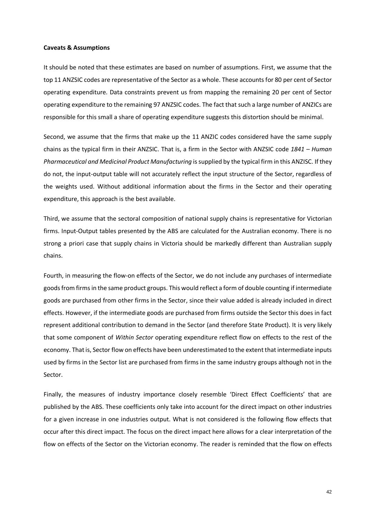#### **Caveats & Assumptions**

It should be noted that these estimates are based on number of assumptions. First, we assume that the top 11 ANZSIC codes are representative of the Sector as a whole. These accounts for 80 per cent of Sector operating expenditure. Data constraints prevent us from mapping the remaining 20 per cent of Sector operating expenditure to the remaining 97 ANZSIC codes. The fact that such a large number of ANZICs are responsible for this small a share of operating expenditure suggests this distortion should be minimal.

Second, we assume that the firms that make up the 11 ANZIC codes considered have the same supply chains as the typical firm in their ANZSIC. That is, a firm in the Sector with ANZSIC code *1841 – Human Pharmaceutical and Medicinal Product Manufacturing* is supplied by the typical firm in this ANZISC. If they do not, the input-output table will not accurately reflect the input structure of the Sector, regardless of the weights used. Without additional information about the firms in the Sector and their operating expenditure, this approach is the best available.

Third, we assume that the sectoral composition of national supply chains is representative for Victorian firms. Input-Output tables presented by the ABS are calculated for the Australian economy. There is no strong a priori case that supply chains in Victoria should be markedly different than Australian supply chains.

Fourth, in measuring the flow-on effects of the Sector, we do not include any purchases of intermediate goods from firms in the same product groups. This would reflect a form of double counting if intermediate goods are purchased from other firms in the Sector, since their value added is already included in direct effects. However, if the intermediate goods are purchased from firms outside the Sector this does in fact represent additional contribution to demand in the Sector (and therefore State Product). It is very likely that some component of *Within Sector* operating expenditure reflect flow on effects to the rest of the economy. That is, Sector flow on effects have been underestimated to the extent that intermediate inputs used by firms in the Sector list are purchased from firms in the same industry groups although not in the Sector.

Finally, the measures of industry importance closely resemble 'Direct Effect Coefficients' that are published by the ABS. These coefficients only take into account for the direct impact on other industries for a given increase in one industries output. What is not considered is the following flow effects that occur after this direct impact. The focus on the direct impact here allows for a clear interpretation of the flow on effects of the Sector on the Victorian economy. The reader is reminded that the flow on effects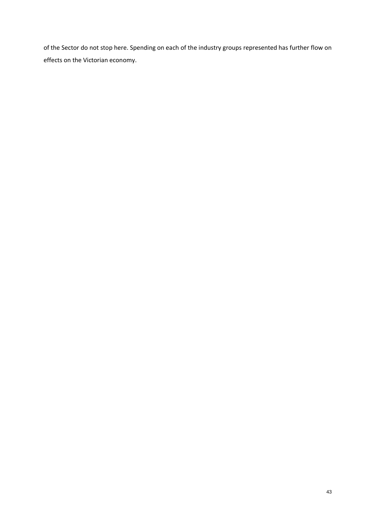of the Sector do not stop here. Spending on each of the industry groups represented has further flow on effects on the Victorian economy.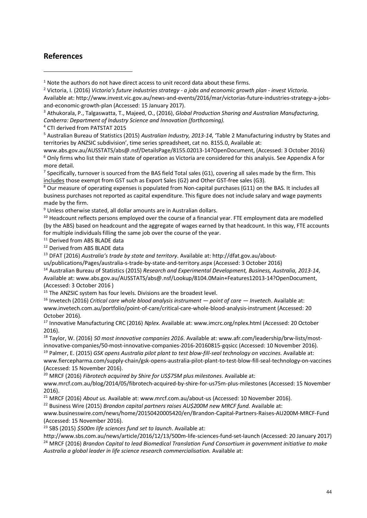#### <span id="page-51-1"></span>**References**

 $\overline{a}$ 

<span id="page-51-4"></span><sup>4</sup> CTI derived from PATSTAT 2015

<span id="page-51-5"></span><sup>5</sup> Australian Bureau of Statistics (2015) *Australian Industry, 2013-14*, 'Table 2 Manufacturing industry by States and territories by ANZSIC subdivision', time series spreadsheet, cat no. 8155.0, Available at:

<span id="page-51-6"></span>www.abs.gov.au/AUSSTATS/abs@.nsf/DetailsPage/8155.02013-14?OpenDocument, (Accessed: 3 October 2016) 6 Only firms who list their main state of operation as Victoria are considered for this analysis. See Appendix A for more detail.

<span id="page-51-7"></span><sup>7</sup> Specifically, turnover is sourced from the BAS field Total sales (G1), covering all sales made by the firm. This includes those exempt from GST such as Export Sales (G2) and Other GST-free sales (G3).

<span id="page-51-8"></span><sup>8</sup> Our measure of operating expenses is populated from Non-capital purchases (G11) on the BAS. It includes all business purchases not reported as capital expenditure. This figure does not include salary and wage payments made by the firm.

<span id="page-51-9"></span> $9$  Unless otherwise stated, all dollar amounts are in Australian dollars.

<span id="page-51-10"></span><sup>10</sup> Headcount reflects persons employed over the course of a financial year. FTE employment data are modelled (by the ABS) based on headcount and the aggregate of wages earned by that headcount. In this way, FTE accounts for multiple individuals filling the same job over the course of the year.

<span id="page-51-11"></span><sup>11</sup> Derived from ABS BLADE data

<span id="page-51-12"></span><sup>12</sup> Derived from ABS BLADE data

<span id="page-51-13"></span><sup>13</sup> DFAT (2016) *Australia's trade by state and territory*. Available at: http://dfat.gov.au/about-

us/publications/Pages/australia-s-trade-by-state-and-territory.aspx (Accessed: 3 October 2016)

<span id="page-51-14"></span><sup>14</sup> Australian Bureau of Statistics (2015) *Research and Experimental Development, Business, Australia, 2013-14*, Available at: www.abs.gov.au/AUSSTATS/abs@.nsf/Lookup/8104.0Main+Features12013-14?OpenDocument, (Accessed: 3 October 2016 )

<span id="page-51-15"></span><sup>15</sup> The ANZSIC system has four levels. Divisions are the broadest level.

<span id="page-51-16"></span><sup>16</sup> Invetech (2016) *Critical care whole blood analysis instrument — point of care — Invetech*. Available at: www.invetech.com.au/portfolio/point-of-care/critical-care-whole-blood-analysis-instrument (Accessed: 20 October 2016).

<span id="page-51-17"></span><sup>17</sup> Innovative Manufacturing CRC (2016) *Nplex*. Available at: www.imcrc.org/nplex.html (Accessed: 20 October 2016).

<span id="page-51-18"></span><sup>18</sup> Taylor, W. (2016) *50 most innovative companies 2016*. Available at: www.afr.com/leadership/brw-lists/mostinnovative-companies/50-most-innovative-companies-2016-20160815-gqsicc (Accessed: 10 November 2016). <sup>19</sup> Palmer, E. (2015) *GSK opens Australia pilot plant to test blow-fill-seal technology on vaccines*. Available at:

<span id="page-51-19"></span>www.fiercepharma.com/supply-chain/gsk-opens-australia-pilot-plant-to-test-blow-fill-seal-technology-on-vaccines (Accessed: 15 November 2016).

<span id="page-51-20"></span><sup>20</sup> MRCF (2016) *Fibrotech acquired by Shire for US\$75M plus milestones*. Available at:

www.mrcf.com.au/blog/2014/05/fibrotech-acquired-by-shire-for-us75m-plus-milestones (Accessed: 15 November 2016).

<span id="page-51-21"></span><sup>21</sup> MRCF (2016) *About us*. Available at: www.mrcf.com.au/about-us (Accessed: 10 November 2016).

<span id="page-51-22"></span><sup>22</sup> Business Wire (2015) *Brandon capital partners raises AU\$200M new MRCF fund.* Available at:

www.businesswire.com/news/home/20150420005420/en/Brandon-Capital-Partners-Raises-AU200M-MRCF-Fund (Accessed: 15 November 2016).

<sup>23</sup> SBS (2015) *\$500m life sciences fund set to launch*. Available at:

<span id="page-51-24"></span><span id="page-51-23"></span>http://www.sbs.com.au/news/article/2016/12/13/500m-life-sciences-fund-set-launch (Accessed: 20 January 2017) <sup>24</sup> MRCF (2016) *Brandon Capital to lead Biomedical Translation Fund Consortium in government initiative to make Australia a global leader in life science research commercialisation.* Available at:

<span id="page-51-0"></span> $1$  Note the authors do not have direct access to unit record data about these firms.

<span id="page-51-2"></span><sup>2</sup> Victoria, I. (2016) *Victoria's future industries strategy - a jobs and economic growth plan - invest Victoria*. Available at: http://www.invest.vic.gov.au/news-and-events/2016/mar/victorias-future-industries-strategy-a-jobsand-economic-growth-plan (Accessed: 15 January 2017).

<span id="page-51-3"></span><sup>3</sup> Athukorala, P., Talgaswatta, T., Majeed, O., (2016), *Global Production Sharing and Australian Manufacturing, Canberra: Department of Industry Science and Innovation (forthcoming).*